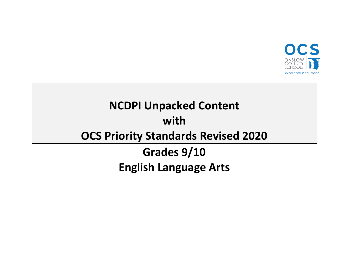

# **NCDPI Unpacked Content with OCS Priority Standards Revised 2020 Grades 9/10**

**English Language Arts**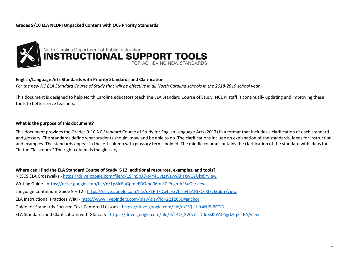

#### **English/Language Arts Standards with Priority Standards and Clarification**

*For the new NC ELA Standard Course of Study that will be effective in all North Carolina schools in the 2018-2019 school year.*

This document is designed to help North Carolina educators teach the ELA Standard Course of Study. NCDPI staff is continually updating and improving these tools to better serve teachers.

#### **What is the purpose of this document?**

This document provides the Grades 9-10 NC Standard Course of Study for English Language Arts (2017) in a format that includes a clarification of each standard and glossary. The standards define what students should know and be able to do. The clarifications include an explanation of the standards, ideas for instruction, and examples. The standards appear in the left column with glossary terms bolded. The middle column contains the clarification of the standard with ideas for "In the Classroom." The right column is the glossary.

**Where can I find the ELA Standard Course of Study K-12, additional resources, examples, and tools?** NCSCS ELA Crosswalks - <https://drive.google.com/file/d/1SFh9pX7-t4Y4UyLzIVzywXPagwGYUks5/view> Writing Guide - <https://drive.google.com/file/d/1p8IcEuGpmeEDGmo06onk0lPegmAFSuGv/view> Language Continuum Guide 9 – 12 - <https://drive.google.com/file/d/1Pd7DwtczG7hjse41ANtkO-8fkgI3bkiY/view> ELA Instructional Practices WIKI - <http://www.livebinders.com/play/play?id=2212650#anchor> Guide for Standards-Focused Text-Centered Lessons - [https://drive.google.com/file/d/1Vj-f1ifr4NJ5-PCTlD](https://drive.google.com/file/d/1Vj-f1ifr4NJ5-PCTlDx9DzIYkh45l9zR/view) ELA Standards and Clarifications with Glossary - [https://drive.google.com/file/d/14O\\_SV0vnlLD0dKsKiYAtPigrk4q2lTEA/view](https://drive.google.com/file/d/14O_SV0vnlLD0dKsKiYAtPigrk4q2lTEA/view)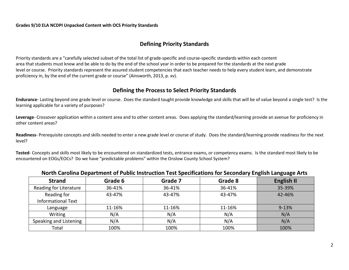# **Defining Priority Standards**

Priority standards are a "carefully selected subset of the total list of grade-specific and course-specific standards within each content area that students must know and be able to do by the end of the school year in order to be prepared for the standards at the next grade level or course. Priority standards represent the assured student competencies that each teacher needs to help every student learn, and demonstrate proficiency in, by the end of the current grade or course" (Ainsworth, 2013, p. xv).

## **Defining the Process to Select Priority Standards**

**Endurance**- Lasting beyond one grade level or course. Does the standard taught provide knowledge and skills that will be of value beyond a single test? Is the learning applicable for a variety of purposes?

**Leverage**- Crossover application within a content area and to other content areas. Does applying the standard/learning provide an avenue for proficiency in other content areas?

**Readiness**- Prerequisite concepts and skills needed to enter a new grade level or course of study. Does the standard/learning provide readiness for the next level?

**Tested**- Concepts and skills most likely to be encountered on standardized tests, entrance exams, or competency exams. Is the standard most likely to be encountered on EOGs/EOCs? Do we have "predictable problems" within the Onslow County School System?

| <b>Strand</b>             | Grade 6 | Grade 7 | Grade 8 | <b>English II</b> |
|---------------------------|---------|---------|---------|-------------------|
| Reading for Literature    | 36-41%  | 36-41%  | 36-41%  | 35-39%            |
| Reading for               | 43-47%  | 43-47%  | 43-47%  | 42-46%            |
| <b>Informational Text</b> |         |         |         |                   |
| Language                  | 11-16%  | 11-16%  | 11-16%  | $9 - 13%$         |
| Writing                   | N/A     | N/A     | N/A     | N/A               |
| Speaking and Listening    | N/A     | N/A     | N/A     | N/A               |
| Total                     | 100%    | 100%    | 100%    | 100%              |

#### **North Carolina Department of Public Instruction Test Specifications for Secondary English Language Arts**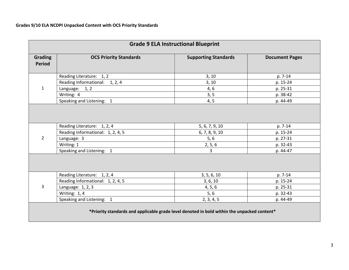| <b>Grade 9 ELA Instructional Blueprint</b>                                                  |                                   |                             |                       |  |
|---------------------------------------------------------------------------------------------|-----------------------------------|-----------------------------|-----------------------|--|
| Grading<br><b>Period</b>                                                                    | <b>OCS Priority Standards</b>     | <b>Supporting Standards</b> | <b>Document Pages</b> |  |
|                                                                                             | Reading Literature: 1, 2          | 3, 10                       | p. 7-14               |  |
|                                                                                             | Reading Informational: 1, 2, 4    | 3, 10                       | p. 15-24              |  |
| $\mathbf{1}$                                                                                | Language: 1, 2                    | 4, 6                        | p. 25-31              |  |
|                                                                                             | Writing: 4                        | 3, 5                        | p. 38-42              |  |
|                                                                                             | Speaking and Listening: 1         | 4, 5                        | p. 44-49              |  |
|                                                                                             |                                   |                             |                       |  |
|                                                                                             | Reading Literature: 1, 2, 4       | 5, 6, 7, 9, 10              | p. 7-14               |  |
|                                                                                             | Reading Informational: 1, 2, 4, 5 | 6, 7, 8, 9, 10              | p. 15-24              |  |
| $\overline{2}$                                                                              | Language: 3                       | $5,6$                       | p. 27-31              |  |
|                                                                                             | Writing: 1                        | 2, 5, 6                     | p. 32-43              |  |
|                                                                                             | Speaking and Listening: 1         | $\overline{3}$              | p. 44-47              |  |
|                                                                                             |                                   |                             |                       |  |
|                                                                                             | Reading Literature: 1, 2, 4       | 3, 5, 6, 10                 | p. 7-14               |  |
|                                                                                             | Reading Informational: 1, 2, 4, 5 | 3, 6, 10                    | p. 15-24              |  |
| 3                                                                                           | Language: 1, 2, 3                 | 4, 5, 6                     | p. 25-31              |  |
|                                                                                             | Writing: 1, 4                     | 5, 6                        | p. 32-43              |  |
|                                                                                             | Speaking and Listening: 1         | 2, 3, 4, 5                  | p. 44-49              |  |
| *Priority standards and applicable grade level denoted in bold within the unpacked content* |                                   |                             |                       |  |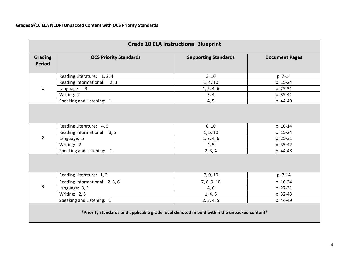| <b>Grade 10 ELA Instructional Blueprint</b>                                                         |                                                                        |                                 |                                  |
|-----------------------------------------------------------------------------------------------------|------------------------------------------------------------------------|---------------------------------|----------------------------------|
| Grading<br><b>Period</b>                                                                            | <b>OCS Priority Standards</b>                                          | <b>Supporting Standards</b>     | <b>Document Pages</b>            |
|                                                                                                     | Reading Literature: 1, 2, 4                                            | 3, 10                           | p. 7-14                          |
|                                                                                                     | Reading Informational: 2, 3                                            | 1, 4, 10                        | p. 15-24                         |
| $\mathbf{1}$                                                                                        | Language: 3                                                            | 1, 2, 4, 6                      | p. 25-31                         |
|                                                                                                     | Writing: 2                                                             | 3, 4                            | p. 35-41                         |
|                                                                                                     | Speaking and Listening: 1                                              | 4, 5                            | p. 44-49                         |
| $\overline{2}$                                                                                      | Reading Literature: 4, 5<br>Reading Informational: 3, 6<br>Language: 5 | 6, 10<br>1, 5, 10<br>1, 2, 4, 6 | p. 10-14<br>p. 15-24<br>p. 25-31 |
|                                                                                                     | Writing: 2                                                             | 4, 5                            | p. 35-42                         |
| Speaking and Listening: 1<br>2, 3, 4<br>p. 44-48<br>Reading Literature: 1, 2<br>7, 9, 10<br>p. 7-14 |                                                                        |                                 |                                  |
|                                                                                                     | Reading Informational: 2, 3, 6                                         | 7, 8, 9, 10                     | p. 16-24                         |
| 3                                                                                                   | Language: 3, 5                                                         | 4, 6                            | p. 27-31                         |
|                                                                                                     | Writing: 2,6                                                           | 1, 4, 5                         | p. 32-43                         |
|                                                                                                     | Speaking and Listening: 1                                              | 2, 3, 4, 5                      | p. 44-49                         |
| *Priority standards and applicable grade level denoted in bold within the unpacked content*         |                                                                        |                                 |                                  |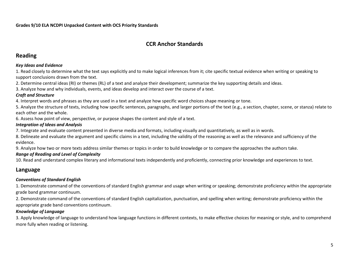# **CCR Anchor Standards**

# **Reading**

#### *Key Ideas and Evidence*

1. Read closely to determine what the text says explicitly and to make logical inferences from it; cite specific textual evidence when writing or speaking to support conclusions drawn from the text.

2. Determine central ideas (RI) or themes (RL) of a text and analyze their development; summarize the key supporting details and ideas.

3. Analyze how and why individuals, events, and ideas develop and interact over the course of a text.

#### *Craft and Structure*

4. Interpret words and phrases as they are used in a text and analyze how specific word choices shape meaning or tone.

5. Analyze the structure of texts, including how specific sentences, paragraphs, and larger portions of the text (e.g., a section, chapter, scene, or stanza) relate to each other and the whole.

6. Assess how point of view, perspective, or purpose shapes the content and style of a text.

#### *Integration of Ideas and Analysis*

7. Integrate and evaluate content presented in diverse media and formats, including visually and quantitatively, as well as in words.

8. Delineate and evaluate the argument and specific claims in a text, including the validity of the reasoning as well as the relevance and sufficiency of the evidence.

9. Analyze how two or more texts address similar themes or topics in order to build knowledge or to compare the approaches the authors take.

#### *Range of Reading and Level of Complexity*

10. Read and understand complex literary and informational texts independently and proficiently, connecting prior knowledge and experiences to text.

# **Language**

## *Conventions of Standard English*

1. Demonstrate command of the conventions of standard English grammar and usage when writing or speaking; demonstrate proficiency within the appropriate grade band grammar continuum.

2. Demonstrate command of the conventions of standard English capitalization, punctuation, and spelling when writing; demonstrate proficiency within the appropriate grade band conventions continuum.

## *Knowledge of Language*

3. Apply knowledge of language to understand how language functions in different contexts, to make effective choices for meaning or style, and to comprehend more fully when reading or listening.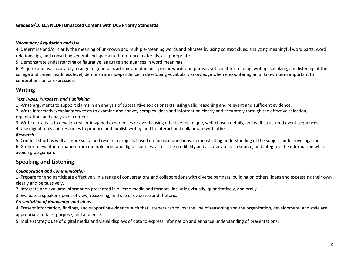#### *Vocabulary Acquisition and Use*

4. Determine and/or clarify the meaning of unknown and multiple-meaning words and phrases by using context clues, analyzing meaningful word parts, word relationships, and consulting general and specialized reference materials, as appropriate.

5. Demonstrate understanding of figurative language and nuances in word meanings.

6. Acquire and use accurately a range of general academic and domain-specific words and phrases sufficient for reading, writing, speaking, and listening at the college and career readiness level; demonstrate independence in developing vocabulary knowledge when encountering an unknown term important to comprehension or expression.

## **Writing**

#### *Text Types, Purposes, and Publishing*

1. Write arguments to support claims in an analysis of substantive topics or texts, using valid reasoning and relevant and sufficient evidence.

2. Write informative/explanatory texts to examine and convey complex ideas and information clearly and accurately through the effective selection, organization, and analysis of content.

3. Write narratives to develop real or imagined experiences or events using effective technique, well-chosen details, and well-structured event sequences.

4. Use digital tools and resources to produce and publish writing and to interact and collaborate with others.

#### *Research*

5. Conduct short as well as more sustained research projects based on focused questions, demonstrating understanding of the subject under investigation. 6. Gather relevant information from multiple print and digital sources, assess the credibility and accuracy of each source, and integrate the information while avoiding plagiarism.

# **Speaking and Listening**

#### *Collaboration and Communication*

1. Prepare for and participate effectively in a range of conversations and collaborations with diverse partners, building on others' ideas and expressing their own clearly and persuasively.

2. Integrate and evaluate information presented in diverse media and formats, including visually, quantitatively, and orally.

3. Evaluate a speaker's point of view, reasoning, and use of evidence and rhetoric.

#### *Presentation of Knowledge and Ideas*

4. Present information, findings, and supporting evidence such that listeners can follow the line of reasoning and the organization, development, and style are appropriate to task, purpose, and audience.

5. Make strategic use of digital media and visual displays of data to express information and enhance understanding of presentations.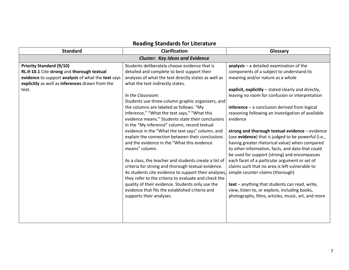| <b>Standard</b>                                                                                                                                                                                 | <b>Clarification</b>                                                                                                                                                                                                                                                                                                                                                                                                                                                                                                                                                                                                                                                                                                                                                                                                                                                                                                                                                                                          | Glossary                                                                                                                                                                                                                                                                                                                                                                                                                                                                                                                                                                                                                                                                                                                                                                                                                                                                                                                |
|-------------------------------------------------------------------------------------------------------------------------------------------------------------------------------------------------|---------------------------------------------------------------------------------------------------------------------------------------------------------------------------------------------------------------------------------------------------------------------------------------------------------------------------------------------------------------------------------------------------------------------------------------------------------------------------------------------------------------------------------------------------------------------------------------------------------------------------------------------------------------------------------------------------------------------------------------------------------------------------------------------------------------------------------------------------------------------------------------------------------------------------------------------------------------------------------------------------------------|-------------------------------------------------------------------------------------------------------------------------------------------------------------------------------------------------------------------------------------------------------------------------------------------------------------------------------------------------------------------------------------------------------------------------------------------------------------------------------------------------------------------------------------------------------------------------------------------------------------------------------------------------------------------------------------------------------------------------------------------------------------------------------------------------------------------------------------------------------------------------------------------------------------------------|
|                                                                                                                                                                                                 | <b>Cluster: Key Ideas and Evidence</b>                                                                                                                                                                                                                                                                                                                                                                                                                                                                                                                                                                                                                                                                                                                                                                                                                                                                                                                                                                        |                                                                                                                                                                                                                                                                                                                                                                                                                                                                                                                                                                                                                                                                                                                                                                                                                                                                                                                         |
| <b>Priority Standard (9/10)</b><br>RL.9-10.1 Cite strong and thorough textual<br>evidence to support analysis of what the text says<br>explicitly as well as inferences drawn from the<br>text. | Students deliberately choose evidence that is<br>detailed and complete to best support their<br>analyses of what the text directly states as well as<br>what the text indirectly states.<br>In the Classroom:<br>Students use three-column graphic organizers, and<br>the columns are labeled as follows: "My<br>inference," "What the text says," "What this<br>evidence means." Students state their conclusions<br>in the "My inference" column, record textual<br>evidence in the "What the text says" column, and<br>explain the connection between their conclusions<br>and the evidence in the "What this evidence<br>means" column.<br>As a class, the teacher and students create a list of<br>criteria for strong and thorough textual evidence.<br>As students cite evidence to support their analyses,<br>they refer to the criteria to evaluate and check the<br>quality of their evidence. Students only use the<br>evidence that fits the established criteria and<br>supports their analyses. | analysis - a detailed examination of the<br>components of a subject to understand its<br>meaning and/or nature as a whole<br>explicit, explicitly - stated clearly and directly,<br>leaving no room for confusion or interpretation<br>$inference - a conclusion derived from logical$<br>reasoning following an investigation of available<br>evidence<br>strong and thorough textual evidence - evidence<br>(see evidence) that is judged to be powerful (i.e.,<br>having greater rhetorical value) when compared<br>to other information, facts, and data that could<br>be used for support (strong) and encompasses<br>each facet of a particular argument or set of<br>claims such that no area is left vulnerable to<br>simple counter-claims (thorough)<br>text - anything that students can read, write,<br>view, listen to, or explore, including books,<br>photographs, films, articles, music, art, and more |

# **Reading Standards for Literature**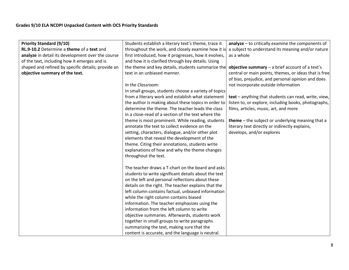| Students establish a literary text's theme, trace it | $analyze - to critically examine the components of$                                                                                                                                                                                                                                                                                                                                                                                                                                                                                                                                                                                                                                                                                                                                                                                                                                                    |
|------------------------------------------------------|--------------------------------------------------------------------------------------------------------------------------------------------------------------------------------------------------------------------------------------------------------------------------------------------------------------------------------------------------------------------------------------------------------------------------------------------------------------------------------------------------------------------------------------------------------------------------------------------------------------------------------------------------------------------------------------------------------------------------------------------------------------------------------------------------------------------------------------------------------------------------------------------------------|
| throughout the work, and closely examine how it is   | a subject to understand its meaning and/or nature                                                                                                                                                                                                                                                                                                                                                                                                                                                                                                                                                                                                                                                                                                                                                                                                                                                      |
| first introduced, how it progresses, how it evolves, | as a whole                                                                                                                                                                                                                                                                                                                                                                                                                                                                                                                                                                                                                                                                                                                                                                                                                                                                                             |
| and how it is clarified through key details. Using   |                                                                                                                                                                                                                                                                                                                                                                                                                                                                                                                                                                                                                                                                                                                                                                                                                                                                                                        |
| the theme and key details, students summarize the    | objective summary $-$ a brief account of a text's                                                                                                                                                                                                                                                                                                                                                                                                                                                                                                                                                                                                                                                                                                                                                                                                                                                      |
| text in an unbiased manner.                          | central or main points, themes, or ideas that is free<br>of bias, prejudice, and personal opinion and does                                                                                                                                                                                                                                                                                                                                                                                                                                                                                                                                                                                                                                                                                                                                                                                             |
| In the Classroom:                                    | not incorporate outside information                                                                                                                                                                                                                                                                                                                                                                                                                                                                                                                                                                                                                                                                                                                                                                                                                                                                    |
| In small groups, students choose a variety of topics |                                                                                                                                                                                                                                                                                                                                                                                                                                                                                                                                                                                                                                                                                                                                                                                                                                                                                                        |
| from a literary work and establish what statement    | text - anything that students can read, write, view,                                                                                                                                                                                                                                                                                                                                                                                                                                                                                                                                                                                                                                                                                                                                                                                                                                                   |
| the author is making about these topics in order to  | listen to, or explore, including books, photographs,                                                                                                                                                                                                                                                                                                                                                                                                                                                                                                                                                                                                                                                                                                                                                                                                                                                   |
| determine the theme. The teacher leads the class     | films, articles, music, art, and more                                                                                                                                                                                                                                                                                                                                                                                                                                                                                                                                                                                                                                                                                                                                                                                                                                                                  |
| in a close-read of a section of the text where the   |                                                                                                                                                                                                                                                                                                                                                                                                                                                                                                                                                                                                                                                                                                                                                                                                                                                                                                        |
| theme is most prominent. While reading, students     | theme - the subject or underlying meaning that a                                                                                                                                                                                                                                                                                                                                                                                                                                                                                                                                                                                                                                                                                                                                                                                                                                                       |
|                                                      | literary text directly or indirectly explains,                                                                                                                                                                                                                                                                                                                                                                                                                                                                                                                                                                                                                                                                                                                                                                                                                                                         |
|                                                      | develops, and/or explores                                                                                                                                                                                                                                                                                                                                                                                                                                                                                                                                                                                                                                                                                                                                                                                                                                                                              |
|                                                      |                                                                                                                                                                                                                                                                                                                                                                                                                                                                                                                                                                                                                                                                                                                                                                                                                                                                                                        |
|                                                      |                                                                                                                                                                                                                                                                                                                                                                                                                                                                                                                                                                                                                                                                                                                                                                                                                                                                                                        |
|                                                      |                                                                                                                                                                                                                                                                                                                                                                                                                                                                                                                                                                                                                                                                                                                                                                                                                                                                                                        |
|                                                      |                                                                                                                                                                                                                                                                                                                                                                                                                                                                                                                                                                                                                                                                                                                                                                                                                                                                                                        |
|                                                      |                                                                                                                                                                                                                                                                                                                                                                                                                                                                                                                                                                                                                                                                                                                                                                                                                                                                                                        |
|                                                      |                                                                                                                                                                                                                                                                                                                                                                                                                                                                                                                                                                                                                                                                                                                                                                                                                                                                                                        |
|                                                      |                                                                                                                                                                                                                                                                                                                                                                                                                                                                                                                                                                                                                                                                                                                                                                                                                                                                                                        |
|                                                      |                                                                                                                                                                                                                                                                                                                                                                                                                                                                                                                                                                                                                                                                                                                                                                                                                                                                                                        |
|                                                      |                                                                                                                                                                                                                                                                                                                                                                                                                                                                                                                                                                                                                                                                                                                                                                                                                                                                                                        |
|                                                      |                                                                                                                                                                                                                                                                                                                                                                                                                                                                                                                                                                                                                                                                                                                                                                                                                                                                                                        |
|                                                      |                                                                                                                                                                                                                                                                                                                                                                                                                                                                                                                                                                                                                                                                                                                                                                                                                                                                                                        |
|                                                      |                                                                                                                                                                                                                                                                                                                                                                                                                                                                                                                                                                                                                                                                                                                                                                                                                                                                                                        |
|                                                      |                                                                                                                                                                                                                                                                                                                                                                                                                                                                                                                                                                                                                                                                                                                                                                                                                                                                                                        |
|                                                      |                                                                                                                                                                                                                                                                                                                                                                                                                                                                                                                                                                                                                                                                                                                                                                                                                                                                                                        |
|                                                      |                                                                                                                                                                                                                                                                                                                                                                                                                                                                                                                                                                                                                                                                                                                                                                                                                                                                                                        |
|                                                      |                                                                                                                                                                                                                                                                                                                                                                                                                                                                                                                                                                                                                                                                                                                                                                                                                                                                                                        |
|                                                      | annotate the text to collect evidence on the<br>setting, characters, dialogue, and/or other plot<br>elements that reveal the development of the<br>theme. Citing their annotations, students write<br>explanations of how and why the theme changes<br>throughout the text.<br>The teacher draws a T-chart on the board and asks<br>students to write significant details about the text<br>on the left and personal reflections about these<br>details on the right. The teacher explains that the<br>left column contains factual, unbiased information<br>while the right column contains biased<br>information. The teacher emphasizes using the<br>information from the left column to write<br>objective summaries. Afterwards, students work<br>together in small groups to write paragraphs<br>summarizing the text, making sure that the<br>content is accurate, and the language is neutral. |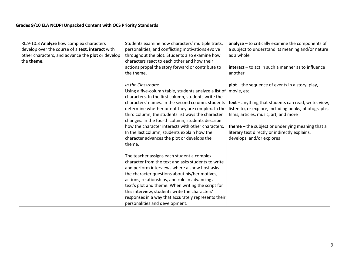| RL.9-10.3 Analyze how complex characters          | Students examine how characters' multiple traits,     | analyze - to critically examine the components of         |
|---------------------------------------------------|-------------------------------------------------------|-----------------------------------------------------------|
| develop over the course of a text, interact with  | personalities, and conflicting motivations evolve     | a subject to understand its meaning and/or nature         |
| other characters, and advance the plot or develop | throughout the plot. Students also examine how        | as a whole                                                |
| the theme.                                        | characters react to each other and how their          |                                                           |
|                                                   | actions propel the story forward or contribute to     | $interact - to act in such a manner as to influence$      |
|                                                   | the theme.                                            | another                                                   |
|                                                   |                                                       |                                                           |
|                                                   | In the Classroom:                                     | $plot$ – the sequence of events in a story, play,         |
|                                                   | Using a five-column table, students analyze a list of | movie, etc.                                               |
|                                                   | characters. In the first column, students write the   |                                                           |
|                                                   | characters' names. In the second column, students     | text - anything that students can read, write, view,      |
|                                                   | determine whether or not they are complex. In the     | listen to, or explore, including books, photographs,      |
|                                                   | third column, the students list ways the character    | films, articles, music, art, and more                     |
|                                                   | changes. In the fourth column, students describe      |                                                           |
|                                                   | how the character interacts with other characters.    | <b>theme</b> $-$ the subject or underlying meaning that a |
|                                                   | In the last column, students explain how the          | literary text directly or indirectly explains,            |
|                                                   | character advances the plot or develops the           | develops, and/or explores                                 |
|                                                   | theme.                                                |                                                           |
|                                                   |                                                       |                                                           |
|                                                   | The teacher assigns each student a complex            |                                                           |
|                                                   | character from the text and asks students to write    |                                                           |
|                                                   | and perform interviews where a show host asks         |                                                           |
|                                                   | the character questions about his/her motives,        |                                                           |
|                                                   | actions, relationships, and role in advancing a       |                                                           |
|                                                   | text's plot and theme. When writing the script for    |                                                           |
|                                                   | this interview, students write the characters'        |                                                           |
|                                                   | responses in a way that accurately represents their   |                                                           |
|                                                   | personalities and development.                        |                                                           |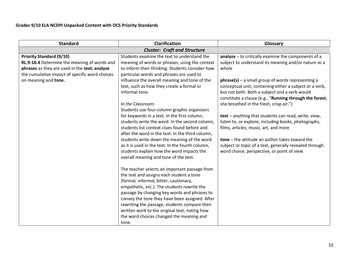| <b>Standard</b>                                                                                                                                                                                            | <b>Clarification</b>                                                                                                                                                                                                                                                                                                                                                                                                                                                                                                                                                                                                                                                                                                                                                                                                                                                                                                                                                                                                                                         | Glossary                                                                                                                                                                                                                                                                                                                                                                                                                                                                                                                                                                                                                                                                                                             |
|------------------------------------------------------------------------------------------------------------------------------------------------------------------------------------------------------------|--------------------------------------------------------------------------------------------------------------------------------------------------------------------------------------------------------------------------------------------------------------------------------------------------------------------------------------------------------------------------------------------------------------------------------------------------------------------------------------------------------------------------------------------------------------------------------------------------------------------------------------------------------------------------------------------------------------------------------------------------------------------------------------------------------------------------------------------------------------------------------------------------------------------------------------------------------------------------------------------------------------------------------------------------------------|----------------------------------------------------------------------------------------------------------------------------------------------------------------------------------------------------------------------------------------------------------------------------------------------------------------------------------------------------------------------------------------------------------------------------------------------------------------------------------------------------------------------------------------------------------------------------------------------------------------------------------------------------------------------------------------------------------------------|
|                                                                                                                                                                                                            |                                                                                                                                                                                                                                                                                                                                                                                                                                                                                                                                                                                                                                                                                                                                                                                                                                                                                                                                                                                                                                                              |                                                                                                                                                                                                                                                                                                                                                                                                                                                                                                                                                                                                                                                                                                                      |
| <b>Priority Standard (9/10)</b><br>RL.9-10.4 Determine the meaning of words and<br>phrases as they are used in the text; analyze<br>the cumulative impact of specific word choices<br>on meaning and tone. | <b>Cluster: Craft and Structure</b><br>Students examine the text to understand the<br>meaning of words or phrases, using the context<br>to inform their thinking. Students consider how<br>particular words and phrases are used to<br>influence the overall meaning and tone of the<br>text, such as how they create a formal or<br>informal tone.<br>In the Classroom:<br>Students use four-column graphic organizers<br>for keywords in a text. In the first column,<br>students write the word. In the second column,<br>students list context clues found before and<br>after the word in the text. In the third column,<br>students write down the meaning of the word<br>as it is used in the text. In the fourth column,<br>students explain how the word impacts the<br>overall meaning and tone of the text.<br>The teacher selects an important passage from<br>the text and assigns each student a tone<br>(formal, informal, bitter, cautionary,<br>empathetic, etc.). The students rewrite the<br>passage by changing key words and phrases to | $analyze - to critically examine the components of a$<br>subject to understand its meaning and/or nature as a<br>whole<br>$phrase(s)$ – a small group of words representing a<br>conceptual unit, containing either a subject or a verb,<br>but not both. Both a subject and a verb would<br>constitute a clause (e.g., "Running through the forest,<br>she breathed in the fresh, crisp air.")<br>text - anything that students can read, write, view,<br>listen to, or explore, including books, photographs,<br>films, articles, music, art, and more<br>$tone – the attitude an author takes toward the$<br>subject or topic of a text, generally revealed through<br>word choice, perspective, or point of view |
|                                                                                                                                                                                                            | convey the tone they have been assigned. After<br>rewriting the passage, students compare their<br>written work to the original text, noting how<br>the word choices changed the meaning and                                                                                                                                                                                                                                                                                                                                                                                                                                                                                                                                                                                                                                                                                                                                                                                                                                                                 |                                                                                                                                                                                                                                                                                                                                                                                                                                                                                                                                                                                                                                                                                                                      |
|                                                                                                                                                                                                            | tone.                                                                                                                                                                                                                                                                                                                                                                                                                                                                                                                                                                                                                                                                                                                                                                                                                                                                                                                                                                                                                                                        |                                                                                                                                                                                                                                                                                                                                                                                                                                                                                                                                                                                                                                                                                                                      |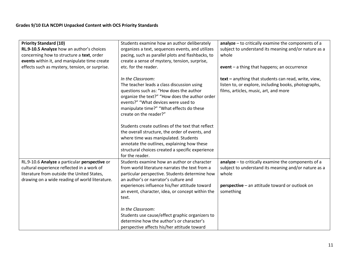| <b>Priority Standard (10)</b>                  | Students examine how an author deliberately                                         | analyze - to critically examine the components of a  |
|------------------------------------------------|-------------------------------------------------------------------------------------|------------------------------------------------------|
| RL.9-10.5 Analyze how an author's choices      | organizes a text, sequences events, and utilizes                                    | subject to understand its meaning and/or nature as a |
| concerning how to structure a text, order      | pacing, such as parallel plots and flashbacks, to                                   | whole                                                |
| events within it, and manipulate time create   | create a sense of mystery, tension, surprise,                                       |                                                      |
| effects such as mystery, tension, or surprise. | etc. for the reader.                                                                | event - a thing that happens; an occurrence          |
|                                                |                                                                                     |                                                      |
|                                                | In the Classroom:                                                                   | text - anything that students can read, write, view, |
|                                                | The teacher leads a class discussion using                                          | listen to, or explore, including books, photographs, |
|                                                | questions such as: "How does the author                                             | films, articles, music, art, and more                |
|                                                | organize the text?" "How does the author order                                      |                                                      |
|                                                | events?" "What devices were used to                                                 |                                                      |
|                                                | manipulate time?" "What effects do these                                            |                                                      |
|                                                | create on the reader?"                                                              |                                                      |
|                                                |                                                                                     |                                                      |
|                                                | Students create outlines of the text that reflect                                   |                                                      |
|                                                | the overall structure, the order of events, and                                     |                                                      |
|                                                | where time was manipulated. Students<br>annotate the outlines, explaining how these |                                                      |
|                                                |                                                                                     |                                                      |
|                                                | structural choices created a specific experience<br>for the reader.                 |                                                      |
| RL.9-10.6 Analyze a particular perspective or  | Students examine how an author or character                                         | analyze - to critically examine the components of a  |
| cultural experience reflected in a work of     | from world literature narrates the text from a                                      | subject to understand its meaning and/or nature as a |
| literature from outside the United States,     | particular perspective. Students determine how                                      | whole                                                |
| drawing on a wide reading of world literature. | an author's or narrator's culture and                                               |                                                      |
|                                                | experiences influence his/her attitude toward                                       | perspective - an attitude toward or outlook on       |
|                                                | an event, character, idea, or concept within the                                    | something                                            |
|                                                | text.                                                                               |                                                      |
|                                                |                                                                                     |                                                      |
|                                                | In the Classroom:                                                                   |                                                      |
|                                                | Students use cause/effect graphic organizers to                                     |                                                      |
|                                                | determine how the author's or character's                                           |                                                      |
|                                                | perspective affects his/her attitude toward                                         |                                                      |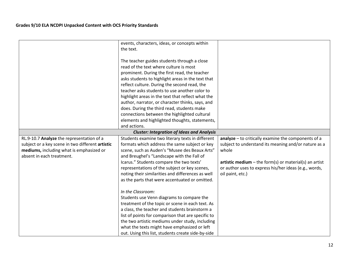|                                                  | events, characters, ideas, or concepts within      |                                                          |
|--------------------------------------------------|----------------------------------------------------|----------------------------------------------------------|
|                                                  | the text.                                          |                                                          |
|                                                  | The teacher guides students through a close        |                                                          |
|                                                  | read of the text where culture is most             |                                                          |
|                                                  | prominent. During the first read, the teacher      |                                                          |
|                                                  | asks students to highlight areas in the text that  |                                                          |
|                                                  | reflect culture. During the second read, the       |                                                          |
|                                                  | teacher asks students to use another color to      |                                                          |
|                                                  | highlight areas in the text that reflect what the  |                                                          |
|                                                  | author, narrator, or character thinks, says, and   |                                                          |
|                                                  | does. During the third read, students make         |                                                          |
|                                                  | connections between the highlighted cultural       |                                                          |
|                                                  | elements and highlighted thoughts, statements,     |                                                          |
|                                                  | and actions.                                       |                                                          |
|                                                  | <b>Cluster: Integration of Ideas and Analysis</b>  |                                                          |
| RL.9-10.7 Analyze the representation of a        | Students examine two literary texts in different   | analyze - to critically examine the components of a      |
| subject or a key scene in two different artistic | formats which address the same subject or key      | subject to understand its meaning and/or nature as a     |
| mediums, including what is emphasized or         | scene, such as Auden's "Musee des Beaux Arts"      | whole                                                    |
| absent in each treatment.                        | and Breughel's "Landscape with the Fall of         |                                                          |
|                                                  | Icarus." Students compare the two texts'           | artistic medium $-$ the form(s) or material(s) an artist |
|                                                  | representations of the subject or key scenes,      | or author uses to express his/her ideas (e.g., words,    |
|                                                  | noting their similarities and differences as well  | oil paint, etc.)                                         |
|                                                  | as the parts that were accentuated or omitted.     |                                                          |
|                                                  |                                                    |                                                          |
|                                                  | In the Classroom:                                  |                                                          |
|                                                  | Students use Venn diagrams to compare the          |                                                          |
|                                                  | treatment of the topic or scene in each text. As   |                                                          |
|                                                  | a class, the teacher and students brainstorm a     |                                                          |
|                                                  | list of points for comparison that are specific to |                                                          |
|                                                  | the two artistic mediums under study, including    |                                                          |
|                                                  | what the texts might have emphasized or left       |                                                          |
|                                                  | out. Using this list, students create side-by-side |                                                          |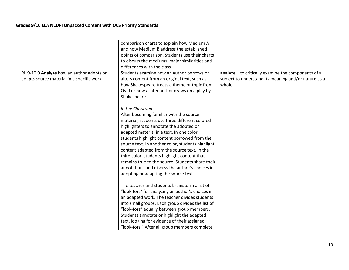|                                            | comparison charts to explain how Medium A<br>and how Medium B address the established |                                                       |
|--------------------------------------------|---------------------------------------------------------------------------------------|-------------------------------------------------------|
|                                            | points of comparison. Students use their charts                                       |                                                       |
|                                            | to discuss the mediums' major similarities and<br>differences with the class.         |                                                       |
| RL.9-10.9 Analyze how an author adopts or  | Students examine how an author borrows or                                             | $analyze - to critically examine the components of a$ |
| adapts source material in a specific work. | alters content from an original text, such as                                         | subject to understand its meaning and/or nature as a  |
|                                            | how Shakespeare treats a theme or topic from                                          | whole                                                 |
|                                            | Ovid or how a later author draws on a play by                                         |                                                       |
|                                            | Shakespeare.                                                                          |                                                       |
|                                            |                                                                                       |                                                       |
|                                            | In the Classroom:                                                                     |                                                       |
|                                            | After becoming familiar with the source                                               |                                                       |
|                                            | material, students use three different colored                                        |                                                       |
|                                            | highlighters to annotate the adopted or                                               |                                                       |
|                                            | adapted material in a text. In one color,                                             |                                                       |
|                                            | students highlight content borrowed from the                                          |                                                       |
|                                            | source text. In another color, students highlight                                     |                                                       |
|                                            | content adapted from the source text. In the                                          |                                                       |
|                                            | third color, students highlight content that                                          |                                                       |
|                                            | remains true to the source. Students share their                                      |                                                       |
|                                            | annotations and discuss the author's choices in                                       |                                                       |
|                                            | adopting or adapting the source text.                                                 |                                                       |
|                                            | The teacher and students brainstorm a list of                                         |                                                       |
|                                            | "look-fors" for analyzing an author's choices in                                      |                                                       |
|                                            | an adapted work. The teacher divides students                                         |                                                       |
|                                            | into small groups. Each group divides the list of                                     |                                                       |
|                                            | "look-fors" equally between group members.                                            |                                                       |
|                                            | Students annotate or highlight the adapted                                            |                                                       |
|                                            | text, looking for evidence of their assigned                                          |                                                       |
|                                            | "look-fors." After all group members complete                                         |                                                       |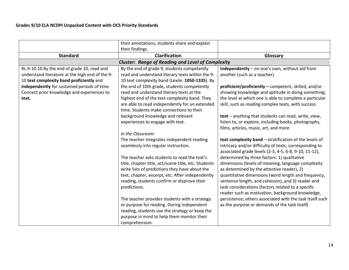|                                                 | their annotations, students share and explain            |                                                          |
|-------------------------------------------------|----------------------------------------------------------|----------------------------------------------------------|
|                                                 | their findings.                                          |                                                          |
| <b>Standard</b>                                 | <b>Clarification</b>                                     | Glossary                                                 |
|                                                 | <b>Cluster: Range of Reading and Level of Complexity</b> |                                                          |
| RL.9-10.10 By the end of grade 10, read and     | By the end of grade 9, students competently              | independently - on one's own, without aid from           |
| understand literature at the high end of the 9- | read and understand literary texts within the 9-         | another (such as a teacher)                              |
| 10 text complexity band proficiently and        | 10 text complexity band (Lexile: 1050-1335). By          |                                                          |
| independently for sustained periods of time.    | the end of 10th grade, students competently              | proficient/proficiently - competent, skilled, and/or     |
| Connect prior knowledge and experiences to      | read and understand literary texts at the                | showing knowledge and aptitude in doing something;       |
| text.                                           | highest end of the text complexity band. They            | the level at which one is able to complete a particular  |
|                                                 | are able to read independently for an extended           | skill, such as reading complex texts, with success       |
|                                                 | time. Students make connections to their                 |                                                          |
|                                                 | background knowledge and relevant                        | text - anything that students can read, write, view,     |
|                                                 | experiences to engage with text.                         | listen to, or explore, including books, photographs,     |
|                                                 |                                                          | films, articles, music, art, and more                    |
|                                                 | In the Classroom:                                        |                                                          |
|                                                 | The teacher integrates independent reading               | text complexity band – stratification of the levels of   |
|                                                 | seamlessly into regular instruction.                     | intricacy and/or difficulty of texts, corresponding to   |
|                                                 |                                                          | associated grade levels (2-3, 4-5, 6-8, 9-10, 11-12),    |
|                                                 | The teacher asks students to read the text's             | determined by three factors: 1) qualitative              |
|                                                 | title, chapter title, act/scene title, etc. Students     | dimensions (levels of meaning, language complexity       |
|                                                 | write lists of predictions they have about the           | as determined by the attentive reader), 2)               |
|                                                 | text, chapter, excerpt, etc. After independently         | quantitative dimensions (word length and frequency,      |
|                                                 | reading, students confirm or disprove their              | sentence length, and cohesion), and 3) reader and        |
|                                                 | predictions.                                             | task considerations (factors related to a specific       |
|                                                 |                                                          | reader such as motivation, background knowledge,         |
|                                                 | The teacher provides students with a strategy            | persistence; others associated with the task itself such |
|                                                 | or purpose for reading. During independent               | as the purpose or demands of the task itself)            |
|                                                 | reading, students use the strategy or keep the           |                                                          |
|                                                 | purpose in mind to help them monitor their               |                                                          |
|                                                 | comprehension.                                           |                                                          |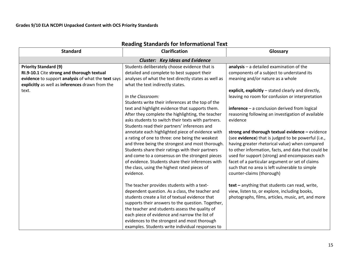| <b>Standard</b>                                                                                                                                                                              | <b>Reading Standards for Informational Text</b><br><b>Clarification</b>                                                                                                                                                                                                                                                                                                                                                                                                                                                                     | Glossary                                                                                                                                                                                                                                                                                                                                                                                                                                                               |  |  |
|----------------------------------------------------------------------------------------------------------------------------------------------------------------------------------------------|---------------------------------------------------------------------------------------------------------------------------------------------------------------------------------------------------------------------------------------------------------------------------------------------------------------------------------------------------------------------------------------------------------------------------------------------------------------------------------------------------------------------------------------------|------------------------------------------------------------------------------------------------------------------------------------------------------------------------------------------------------------------------------------------------------------------------------------------------------------------------------------------------------------------------------------------------------------------------------------------------------------------------|--|--|
|                                                                                                                                                                                              |                                                                                                                                                                                                                                                                                                                                                                                                                                                                                                                                             |                                                                                                                                                                                                                                                                                                                                                                                                                                                                        |  |  |
| <b>Priority Standard (9)</b><br>RI.9-10.1 Cite strong and thorough textual<br>evidence to support analysis of what the text says<br>explicitly as well as inferences drawn from the<br>text. | <b>Cluster: Key Ideas and Evidence</b><br>Students deliberately choose evidence that is<br>detailed and complete to best support their<br>analyses of what the text directly states as well as<br>what the text indirectly states.<br>In the Classroom:<br>Students write their inferences at the top of the<br>text and highlight evidence that supports them.                                                                                                                                                                             | $analysis - a detailed examination of the$<br>components of a subject to understand its<br>meaning and/or nature as a whole<br>explicit, explicitly - stated clearly and directly,<br>leaving no room for confusion or interpretation<br>$inference - a conclusion derived from logical$                                                                                                                                                                               |  |  |
|                                                                                                                                                                                              | After they complete the highlighting, the teacher<br>asks students to switch their texts with partners.<br>Students read their partners' inferences and<br>annotate each highlighted piece of evidence with<br>a rating of one to three: one being the weakest<br>and three being the strongest and most thorough.<br>Students share their ratings with their partners<br>and come to a consensus on the strongest pieces<br>of evidence. Students share their inferences with<br>the class, using the highest rated pieces of<br>evidence. | reasoning following an investigation of available<br>evidence<br>strong and thorough textual evidence $-$ evidence<br>(see evidence) that is judged to be powerful (i.e.,<br>having greater rhetorical value) when compared<br>to other information, facts, and data that could be<br>used for support (strong) and encompasses each<br>facet of a particular argument or set of claims<br>such that no area is left vulnerable to simple<br>counter-claims (thorough) |  |  |
|                                                                                                                                                                                              | The teacher provides students with a text-<br>dependent question. As a class, the teacher and<br>students create a list of textual evidence that<br>supports their answers to the question. Together,<br>the teacher and students assess the quality of<br>each piece of evidence and narrow the list of<br>evidences to the strongest and most thorough<br>examples. Students write individual responses to                                                                                                                                | text - anything that students can read, write,<br>view, listen to, or explore, including books,<br>photographs, films, articles, music, art, and more                                                                                                                                                                                                                                                                                                                  |  |  |

# **Reading Standards for Informational Text**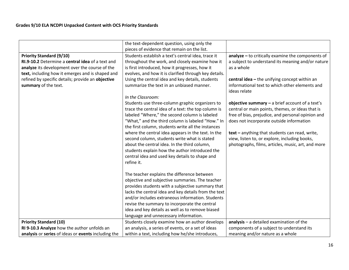|                                                     | the text-dependent question, using only the           |                                                     |
|-----------------------------------------------------|-------------------------------------------------------|-----------------------------------------------------|
|                                                     | pieces of evidence that remain on the list.           |                                                     |
| <b>Priority Standard (9/10)</b>                     | Students establish a text's central idea, trace it    | $analyze - to critically examine the components of$ |
| RI.9-10.2 Determine a central idea of a text and    | throughout the work, and closely examine how it       | a subject to understand its meaning and/or nature   |
| analyze its development over the course of the      | is first introduced, how it progresses, how it        | as a whole                                          |
| text, including how it emerges and is shaped and    | evolves, and how it is clarified through key details. |                                                     |
| refined by specific details; provide an objective   | Using the central idea and key details, students      | central idea - the unifying concept within an       |
| summary of the text.                                | summarize the text in an unbiased manner.             | informational text to which other elements and      |
|                                                     |                                                       | ideas relate                                        |
|                                                     | In the Classroom:                                     |                                                     |
|                                                     | Students use three-column graphic organizers to       | objective summary $-$ a brief account of a text's   |
|                                                     | trace the central idea of a text: the top column is   | central or main points, themes, or ideas that is    |
|                                                     | labeled "Where," the second column is labeled         | free of bias, prejudice, and personal opinion and   |
|                                                     | "What," and the third column is labeled "How." In     | does not incorporate outside information            |
|                                                     | the first column, students write all the instances    |                                                     |
|                                                     | where the central idea appears in the text. In the    | text - anything that students can read, write,      |
|                                                     | second column, students write what is stated          | view, listen to, or explore, including books,       |
|                                                     | about the central idea. In the third column,          | photographs, films, articles, music, art, and more  |
|                                                     | students explain how the author introduced the        |                                                     |
|                                                     | central idea and used key details to shape and        |                                                     |
|                                                     | refine it.                                            |                                                     |
|                                                     |                                                       |                                                     |
|                                                     | The teacher explains the difference between           |                                                     |
|                                                     | objective and subjective summaries. The teacher       |                                                     |
|                                                     | provides students with a subjective summary that      |                                                     |
|                                                     | lacks the central idea and key details from the text  |                                                     |
|                                                     | and/or includes extraneous information. Students      |                                                     |
|                                                     | revise the summary to incorporate the central         |                                                     |
|                                                     | idea and key details as well as to remove biased      |                                                     |
|                                                     | language and unnecessary information.                 |                                                     |
| <b>Priority Standard (10)</b>                       | Students closely examine how an author develops       | $analysis - a detailed examination of the$          |
| RI 9-10.3 Analyze how the author unfolds an         | an analysis, a series of events, or a set of ideas    | components of a subject to understand its           |
| analysis or series of ideas or events including the | within a text, including how he/she introduces,       | meaning and/or nature as a whole                    |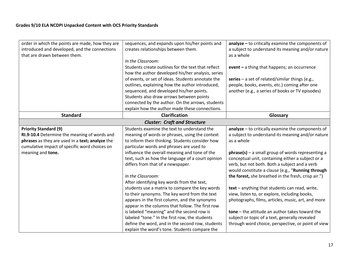| order in which the points are made, how they are<br>introduced and developed, and the connections<br>that are drawn between them.                                                                     | sequences, and expands upon his/her points and<br>creates relationships between them.<br>In the Classroom:<br>Students create outlines for the text that reflect<br>how the author developed his/her analysis, series<br>of events, or set of ideas. Students annotate the<br>outlines, explaining how the author introduced,<br>sequenced, and developed his/her points.                                                                                                                                                                                                                                                                                                                                                                                                                                               | $analyze - to critically examine the components of$<br>a subject to understand its meaning and/or nature<br>as a whole<br>event - a thing that happens; an occurrence<br>series - a set of related/similar things (e.g.,<br>people, books, events, etc.) coming after one<br>another (e.g., a series of books or TV episodes)                                                                                                                                                                                                                                                                                                                                                                                      |
|-------------------------------------------------------------------------------------------------------------------------------------------------------------------------------------------------------|-------------------------------------------------------------------------------------------------------------------------------------------------------------------------------------------------------------------------------------------------------------------------------------------------------------------------------------------------------------------------------------------------------------------------------------------------------------------------------------------------------------------------------------------------------------------------------------------------------------------------------------------------------------------------------------------------------------------------------------------------------------------------------------------------------------------------|--------------------------------------------------------------------------------------------------------------------------------------------------------------------------------------------------------------------------------------------------------------------------------------------------------------------------------------------------------------------------------------------------------------------------------------------------------------------------------------------------------------------------------------------------------------------------------------------------------------------------------------------------------------------------------------------------------------------|
|                                                                                                                                                                                                       | Students also draw arrows between points<br>connected by the author. On the arrows, students<br>explain how the author made these connections.                                                                                                                                                                                                                                                                                                                                                                                                                                                                                                                                                                                                                                                                          |                                                                                                                                                                                                                                                                                                                                                                                                                                                                                                                                                                                                                                                                                                                    |
| <b>Standard</b>                                                                                                                                                                                       | <b>Clarification</b>                                                                                                                                                                                                                                                                                                                                                                                                                                                                                                                                                                                                                                                                                                                                                                                                    | Glossary                                                                                                                                                                                                                                                                                                                                                                                                                                                                                                                                                                                                                                                                                                           |
|                                                                                                                                                                                                       | <b>Cluster: Craft and Structure</b>                                                                                                                                                                                                                                                                                                                                                                                                                                                                                                                                                                                                                                                                                                                                                                                     |                                                                                                                                                                                                                                                                                                                                                                                                                                                                                                                                                                                                                                                                                                                    |
| <b>Priority Standard (9)</b><br>RI.9-10.4 Determine the meaning of words and<br>phrases as they are used in a text; analyze the<br>cumulative impact of specific word choices on<br>meaning and tone. | Students examine the text to understand the<br>meaning of words or phrases, using the context<br>to inform their thinking. Students consider how<br>particular words and phrases are used to<br>influence the overall meaning and tone of the<br>text, such as how the language of a court opinion<br>differs from that of a newspaper.<br>In the Classroom:<br>After identifying key words from the text,<br>students use a matrix to compare the key words<br>to their synonyms. The key word from the text<br>appears in the first column, and the synonyms<br>appear in the columns that follow. The first row<br>is labeled "meaning" and the second row is<br>labeled "tone." In the first row, the students<br>define the word, and in the second row, students<br>explain the word's tone. Students compare the | $analyze - to critically examine the components of$<br>a subject to understand its meaning and/or nature<br>as a whole<br>$phrase(s)$ – a small group of words representing a<br>conceptual unit, containing either a subject or a<br>verb, but not both. Both a subject and a verb<br>would constitute a clause (e.g., "Running through<br>the forest, she breathed in the fresh, crisp air.")<br>text - anything that students can read, write,<br>view, listen to, or explore, including books,<br>photographs, films, articles, music, art, and more<br>tone - the attitude an author takes toward the<br>subject or topic of a text, generally revealed<br>through word choice, perspective, or point of view |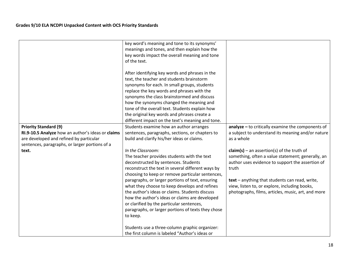|                                                   | key word's meaning and tone to its synonyms'       |                                                     |
|---------------------------------------------------|----------------------------------------------------|-----------------------------------------------------|
|                                                   | meanings and tones, and then explain how the       |                                                     |
|                                                   | key words impact the overall meaning and tone      |                                                     |
|                                                   | of the text.                                       |                                                     |
|                                                   |                                                    |                                                     |
|                                                   | After identifying key words and phrases in the     |                                                     |
|                                                   | text, the teacher and students brainstorm          |                                                     |
|                                                   | synonyms for each. In small groups, students       |                                                     |
|                                                   | replace the key words and phrases with the         |                                                     |
|                                                   | synonyms the class brainstormed and discuss        |                                                     |
|                                                   | how the synonyms changed the meaning and           |                                                     |
|                                                   | tone of the overall text. Students explain how     |                                                     |
|                                                   |                                                    |                                                     |
|                                                   | the original key words and phrases create a        |                                                     |
|                                                   | different impact on the text's meaning and tone.   |                                                     |
| <b>Priority Standard (9)</b>                      | Students examine how an author arranges            | $analyze - to critically examine the components of$ |
| RI.9-10.5 Analyze how an author's ideas or claims | sentences, paragraphs, sections, or chapters to    | a subject to understand its meaning and/or nature   |
| are developed and refined by particular           | build and clarify his/her ideas or claims.         | as a whole                                          |
| sentences, paragraphs, or larger portions of a    |                                                    |                                                     |
| text.                                             | In the Classroom:                                  | $claim(s)$ – an assertion(s) of the truth of        |
|                                                   | The teacher provides students with the text        | something, often a value statement; generally, an   |
|                                                   | deconstructed by sentences. Students               | author uses evidence to support the assertion of    |
|                                                   | reconstruct the text in several different ways by  | truth                                               |
|                                                   | choosing to keep or remove particular sentences,   |                                                     |
|                                                   | paragraphs, or larger portions of text, ensuring   | text - anything that students can read, write,      |
|                                                   | what they choose to keep develops and refines      | view, listen to, or explore, including books,       |
|                                                   | the author's ideas or claims. Students discuss     | photographs, films, articles, music, art, and more  |
|                                                   | how the author's ideas or claims are developed     |                                                     |
|                                                   |                                                    |                                                     |
|                                                   | or clarified by the particular sentences,          |                                                     |
|                                                   | paragraphs, or larger portions of texts they chose |                                                     |
|                                                   | to keep.                                           |                                                     |
|                                                   |                                                    |                                                     |
|                                                   | Students use a three-column graphic organizer:     |                                                     |
|                                                   | the first column is labeled "Author's ideas or     |                                                     |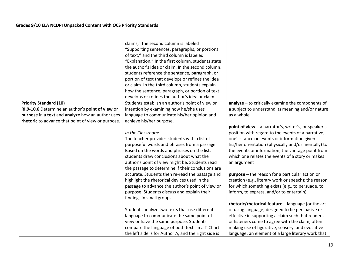|                                                    | claims," the second column is labeled                |                                                      |
|----------------------------------------------------|------------------------------------------------------|------------------------------------------------------|
|                                                    | "Supporting sentences, paragraphs, or portions       |                                                      |
|                                                    | of text," and the third column is labeled            |                                                      |
|                                                    | "Explanation." In the first column, students state   |                                                      |
|                                                    | the author's idea or claim. In the second column,    |                                                      |
|                                                    | students reference the sentence, paragraph, or       |                                                      |
|                                                    | portion of text that develops or refines the idea    |                                                      |
|                                                    | or claim. In the third column, students explain      |                                                      |
|                                                    | how the sentence, paragraph, or portion of text      |                                                      |
|                                                    | develops or refines the author's idea or claim.      |                                                      |
| <b>Priority Standard (10)</b>                      | Students establish an author's point of view or      | $analyze - to critically examine the components of$  |
| RI.9-10.6 Determine an author's point of view or   | intention by examining how he/she uses               | a subject to understand its meaning and/or nature    |
| purpose in a text and analyze how an author uses   | language to communicate his/her opinion and          | as a whole                                           |
| rhetoric to advance that point of view or purpose. | achieve his/her purpose.                             |                                                      |
|                                                    |                                                      | point of view - a narrator's, writer's, or speaker's |
|                                                    | In the Classroom:                                    | position with regard to the events of a narrative;   |
|                                                    | The teacher provides students with a list of         | one's stance on events or information given          |
|                                                    | purposeful words and phrases from a passage.         | his/her orientation (physically and/or mentally) to  |
|                                                    | Based on the words and phrases on the list,          | the events or information; the vantage point from    |
|                                                    | students draw conclusions about what the             | which one relates the events of a story or makes     |
|                                                    | author's point of view might be. Students read       | an argument                                          |
|                                                    | the passage to determine if their conclusions are    |                                                      |
|                                                    | accurate. Students then re-read the passage and      | $purpose$ – the reason for a particular action or    |
|                                                    | highlight the rhetorical devices used in the         | creation (e.g., literary work or speech); the reason |
|                                                    | passage to advance the author's point of view or     | for which something exists (e.g., to persuade, to    |
|                                                    | purpose. Students discuss and explain their          | inform, to express, and/or to entertain)             |
|                                                    | findings in small groups.                            |                                                      |
|                                                    |                                                      | rhetoric/rhetorical feature - language (or the art   |
|                                                    | Students analyze two texts that use different        | of using language) designed to be persuasive or      |
|                                                    | language to communicate the same point of            | effective in supporting a claim such that readers    |
|                                                    | view or have the same purpose. Students              | or listeners come to agree with the claim, often     |
|                                                    | compare the language of both texts in a T-Chart:     | making use of figurative, sensory, and evocative     |
|                                                    | the left side is for Author A, and the right side is | language; an element of a large literary work that   |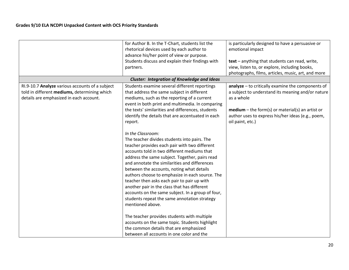|                                                 | for Author B. In the T-Chart, students list the    | is particularly designed to have a persuasive or   |
|-------------------------------------------------|----------------------------------------------------|----------------------------------------------------|
|                                                 | rhetorical devices used by each author to          | emotional impact                                   |
|                                                 | advance his/her point of view or purpose.          |                                                    |
|                                                 | Students discuss and explain their findings with   | text - anything that students can read, write,     |
|                                                 | partners.                                          | view, listen to, or explore, including books,      |
|                                                 |                                                    | photographs, films, articles, music, art, and more |
|                                                 | <b>Cluster: Integration of Knowledge and Ideas</b> |                                                    |
| RI.9-10.7 Analyze various accounts of a subject | Students examine several different reportings      | analyze - to critically examine the components of  |
| told in different mediums, determining which    | that address the same subject in different         | a subject to understand its meaning and/or nature  |
| details are emphasized in each account.         | mediums, such as the reporting of a current        | as a whole                                         |
|                                                 | event in both print and multimedia. In comparing   |                                                    |
|                                                 | the texts' similarities and differences, students  | $median$ – the form(s) or material(s) an artist or |
|                                                 | identify the details that are accentuated in each  | author uses to express his/her ideas (e.g., poem,  |
|                                                 | report.                                            | oil paint, etc.)                                   |
|                                                 |                                                    |                                                    |
|                                                 | In the Classroom:                                  |                                                    |
|                                                 | The teacher divides students into pairs. The       |                                                    |
|                                                 | teacher provides each pair with two different      |                                                    |
|                                                 | accounts told in two different mediums that        |                                                    |
|                                                 | address the same subject. Together, pairs read     |                                                    |
|                                                 | and annotate the similarities and differences      |                                                    |
|                                                 | between the accounts, noting what details          |                                                    |
|                                                 | authors choose to emphasize in each source. The    |                                                    |
|                                                 | teacher then asks each pair to pair up with        |                                                    |
|                                                 | another pair in the class that has different       |                                                    |
|                                                 | accounts on the same subject. In a group of four,  |                                                    |
|                                                 | students repeat the same annotation strategy       |                                                    |
|                                                 | mentioned above.                                   |                                                    |
|                                                 |                                                    |                                                    |
|                                                 | The teacher provides students with multiple        |                                                    |
|                                                 | accounts on the same topic. Students highlight     |                                                    |
|                                                 | the common details that are emphasized             |                                                    |
|                                                 | between all accounts in one color and the          |                                                    |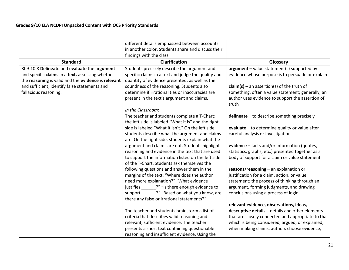|                                                     | different details emphasized between accounts       |                                                           |
|-----------------------------------------------------|-----------------------------------------------------|-----------------------------------------------------------|
|                                                     | in another color. Students share and discuss their  |                                                           |
|                                                     | findings with the class.                            |                                                           |
| <b>Standard</b>                                     | <b>Clarification</b>                                | Glossary                                                  |
| RI.9-10.8 Delineate and evaluate the argument       | Students precisely describe the argument and        | $argument - value statement(s) supported by$              |
| and specific claims in a text, assessing whether    | specific claims in a text and judge the quality and | evidence whose purpose is to persuade or explain          |
| the reasoning is valid and the evidence is relevant | quantity of evidence presented, as well as the      |                                                           |
| and sufficient; identify false statements and       | soundness of the reasoning. Students also           | $claim(s)$ – an assertion(s) of the truth of              |
| fallacious reasoning.                               | determine if irrationalities or inaccuracies are    | something, often a value statement; generally, an         |
|                                                     | present in the text's argument and claims.          | author uses evidence to support the assertion of<br>truth |
|                                                     | In the Classroom:                                   |                                                           |
|                                                     | The teacher and students complete a T-Chart:        | delineate - to describe something precisely               |
|                                                     | the left side is labeled "What it is" and the right |                                                           |
|                                                     | side is labeled "What it isn't." On the left side,  | evaluate - to determine quality or value after            |
|                                                     | students describe what the argument and claims      | careful analysis or investigation                         |
|                                                     | are. On the right side, students explain what the   |                                                           |
|                                                     | argument and claims are not. Students highlight     | evidence - facts and/or information (quotes,              |
|                                                     | reasoning and evidence in the text that are used    | statistics, graphs, etc.) presented together as a         |
|                                                     | to support the information listed on the left side  | body of support for a claim or value statement            |
|                                                     | of the T-Chart. Students ask themselves the         |                                                           |
|                                                     | following questions and answer them in the          | $reasons/reasoning - an explanation or$                   |
|                                                     | margins of the text: "Where does the author         | justification for a claim, action, or value               |
|                                                     | need more explanation?" "What evidence              | statement; the process of thinking through an             |
|                                                     | justifies _______?" "Is there enough evidence to    | argument, forming judgments, and drawing                  |
|                                                     | support _______?" "Based on what you know, are      | conclusions using a process of logic                      |
|                                                     | there any false or irrational statements?"          |                                                           |
|                                                     |                                                     | relevant evidence, observations, ideas,                   |
|                                                     | The teacher and students brainstorm a list of       | descriptive details - details and other elements          |
|                                                     | criteria that describes valid reasoning and         | that are closely connected and appropriate to that        |
|                                                     | relevant, sufficient evidence. The teacher          | which is being considered, argued, or explained;          |
|                                                     | presents a short text containing questionable       | when making claims, authors choose evidence,              |
|                                                     | reasoning and insufficient evidence. Using the      |                                                           |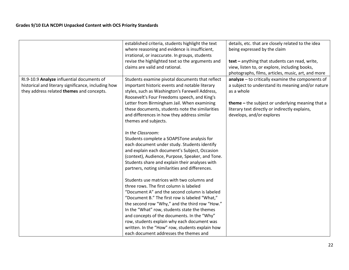|                                                                                                                                                | established criteria, students highlight the text<br>where reasoning and evidence is insufficient,<br>irrational, or inaccurate. In groups, students<br>revise the highlighted text so the arguments and<br>claims are valid and rational.                                                                                                                                                                                                                                            | details, etc. that are closely related to the idea<br>being expressed by the claim<br>text - anything that students can read, write,<br>view, listen to, or explore, including books,<br>photographs, films, articles, music, art, and more             |
|------------------------------------------------------------------------------------------------------------------------------------------------|---------------------------------------------------------------------------------------------------------------------------------------------------------------------------------------------------------------------------------------------------------------------------------------------------------------------------------------------------------------------------------------------------------------------------------------------------------------------------------------|---------------------------------------------------------------------------------------------------------------------------------------------------------------------------------------------------------------------------------------------------------|
| RI.9-10.9 Analyze influential documents of<br>historical and literary significance, including how<br>they address related themes and concepts. | Students examine pivotal documents that reflect<br>important historic events and notable literary<br>styles, such as Washington's Farewell Address,<br>Roosevelt's Four Freedoms speech, and King's<br>Letter from Birmingham Jail. When examining<br>these documents, students note the similarities<br>and differences in how they address similar<br>themes and subjects.                                                                                                          | analyze - to critically examine the components of<br>a subject to understand its meaning and/or nature<br>as a whole<br>theme - the subject or underlying meaning that a<br>literary text directly or indirectly explains,<br>develops, and/or explores |
|                                                                                                                                                | In the Classroom:<br>Students complete a SOAPSTone analysis for<br>each document under study. Students identify<br>and explain each document's Subject, Occasion<br>(context), Audience, Purpose, Speaker, and Tone.<br>Students share and explain their analyses with<br>partners, noting similarities and differences.                                                                                                                                                              |                                                                                                                                                                                                                                                         |
|                                                                                                                                                | Students use matrices with two columns and<br>three rows. The first column is labeled<br>"Document A" and the second column is labeled<br>"Document B." The first row is labeled "What,"<br>the second row "Why," and the third row "How."<br>In the "What" row, students state the themes<br>and concepts of the documents. In the "Why"<br>row, students explain why each document was<br>written. In the "How" row, students explain how<br>each document addresses the themes and |                                                                                                                                                                                                                                                         |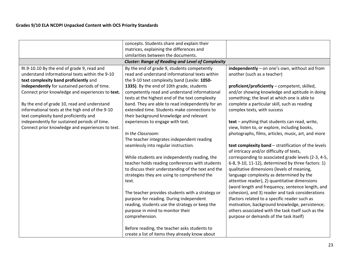|                                                          | concepts. Students share and explain their         |                                                     |
|----------------------------------------------------------|----------------------------------------------------|-----------------------------------------------------|
|                                                          | matrices, explaining the differences and           |                                                     |
|                                                          | similarities between the documents.                |                                                     |
| <b>Cluster: Range of Reading and Level of Complexity</b> |                                                    |                                                     |
| RI.9-10.10 By the end of grade 9, read and               | By the end of grade 9, students competently        | independently - on one's own, without aid from      |
| understand informational texts within the 9-10           | read and understand informational texts within     | another (such as a teacher)                         |
| text complexity band proficiently and                    | the 9-10 text complexity band (Lexile: 1050-       |                                                     |
| independently for sustained periods of time.             | 1335). By the end of 10th grade, students          | proficient/proficiently - competent, skilled,       |
| Connect prior knowledge and experiences to text.         | competently read and understand informational      | and/or showing knowledge and aptitude in doing      |
|                                                          | texts at the highest end of the text complexity    | something; the level at which one is able to        |
| By the end of grade 10, read and understand              | band. They are able to read independently for an   | complete a particular skill, such as reading        |
| informational texts at the high end of the 9-10          | extended time. Students make connections to        | complex texts, with success                         |
| text complexity band proficiently and                    | their background knowledge and relevant            |                                                     |
| independently for sustained periods of time.             | experiences to engage with text.                   | text - anything that students can read, write,      |
| Connect prior knowledge and experiences to text.         |                                                    | view, listen to, or explore, including books,       |
|                                                          | In the Classroom:                                  | photographs, films, articles, music, art, and more  |
|                                                          | The teacher integrates independent reading         |                                                     |
|                                                          | seamlessly into regular instruction.               | text complexity band - stratification of the levels |
|                                                          |                                                    | of intricacy and/or difficulty of texts,            |
|                                                          | While students are independently reading, the      | corresponding to associated grade levels (2-3, 4-5, |
|                                                          | teacher holds reading conferences with students    | 6-8, 9-10, 11-12), determined by three factors: 1)  |
|                                                          | to discuss their understanding of the text and the | qualitative dimensions (levels of meaning,          |
|                                                          | strategies they are using to comprehend the        | language complexity as determined by the            |
|                                                          | text.                                              | attentive reader), 2) quantitative dimensions       |
|                                                          |                                                    | (word length and frequency, sentence length, and    |
|                                                          | The teacher provides students with a strategy or   | cohesion), and 3) reader and task considerations    |
|                                                          | purpose for reading. During independent            | (factors related to a specific reader such as       |
|                                                          | reading, students use the strategy or keep the     | motivation, background knowledge, persistence;      |
|                                                          | purpose in mind to monitor their                   | others associated with the task itself such as the  |
|                                                          | comprehension.                                     | purpose or demands of the task itself)              |
|                                                          |                                                    |                                                     |
|                                                          | Before reading, the teacher asks students to       |                                                     |
|                                                          | create a list of items they already know about     |                                                     |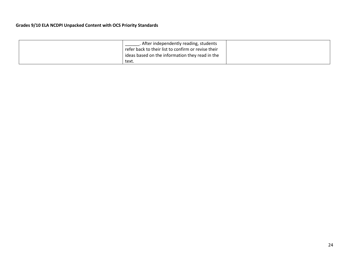| . After independently reading, students             |
|-----------------------------------------------------|
| refer back to their list to confirm or revise their |
| ideas based on the information they read in the     |
| text.                                               |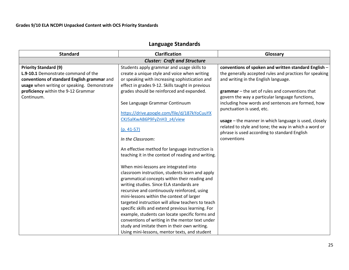# **Language Standards**

| <b>Standard</b>                                                                                                                                                   | <b>Clarification</b>                                                                                                                                                                             | Glossary                                                                                                                                                |  |
|-------------------------------------------------------------------------------------------------------------------------------------------------------------------|--------------------------------------------------------------------------------------------------------------------------------------------------------------------------------------------------|---------------------------------------------------------------------------------------------------------------------------------------------------------|--|
| <b>Cluster: Craft and Structure</b>                                                                                                                               |                                                                                                                                                                                                  |                                                                                                                                                         |  |
| <b>Priority Standard (9)</b><br>L.9-10.1 Demonstrate command of the<br>conventions of standard English grammar and<br>usage when writing or speaking. Demonstrate | Students apply grammar and usage skills to<br>create a unique style and voice when writing<br>or speaking with increasing sophistication and<br>effect in grades 9-12. Skills taught in previous | conventions of spoken and written standard English -<br>the generally accepted rules and practices for speaking<br>and writing in the English language. |  |
| proficiency within the 9-12 Grammar<br>Continuum.                                                                                                                 | grades should be reinforced and expanded.                                                                                                                                                        | grammar - the set of rules and conventions that<br>govern the way a particular language functions,                                                      |  |
|                                                                                                                                                                   | See Language Grammar Continuum<br>https://drive.google.com/file/d/187kYoCuuYX                                                                                                                    | including how words and sentences are formed, how<br>punctuation is used, etc.                                                                          |  |
|                                                                                                                                                                   | CKJ5alKwAB6P9FyZnH3 z4/view                                                                                                                                                                      | usage - the manner in which language is used, closely<br>related to style and tone; the way in which a word or                                          |  |
|                                                                                                                                                                   | $(p. 41-57)$<br>In the Classroom:                                                                                                                                                                | phrase is used according to standard English<br>conventions                                                                                             |  |
|                                                                                                                                                                   | An effective method for language instruction is<br>teaching it in the context of reading and writing.                                                                                            |                                                                                                                                                         |  |
|                                                                                                                                                                   | When mini-lessons are integrated into<br>classroom instruction, students learn and apply<br>grammatical concepts within their reading and                                                        |                                                                                                                                                         |  |
|                                                                                                                                                                   | writing studies. Since ELA standards are<br>recursive and continuously reinforced, using<br>mini-lessons within the context of larger                                                            |                                                                                                                                                         |  |
|                                                                                                                                                                   | targeted instruction will allow teachers to teach<br>specific skills and extend previous learning. For<br>example, students can locate specific forms and                                        |                                                                                                                                                         |  |
|                                                                                                                                                                   | conventions of writing in the mentor text under<br>study and imitate them in their own writing.<br>Using mini-lessons, mentor texts, and student                                                 |                                                                                                                                                         |  |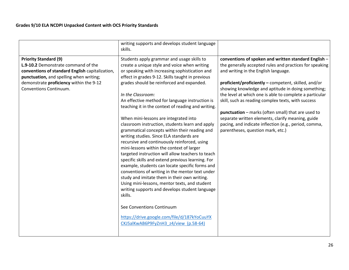|                                                                                                                                                                                                                                        | writing supports and develops student language<br>skills.                                                                                                                                                                                                                                                                                                                                                                                                                                                                                                                                                                                                                                                                                                                                                                                                                                                                                                                                                                                                                                                                                                            |                                                                                                                                                                                                                                                                                                                                                                                                                                                                                                                                                                                                 |
|----------------------------------------------------------------------------------------------------------------------------------------------------------------------------------------------------------------------------------------|----------------------------------------------------------------------------------------------------------------------------------------------------------------------------------------------------------------------------------------------------------------------------------------------------------------------------------------------------------------------------------------------------------------------------------------------------------------------------------------------------------------------------------------------------------------------------------------------------------------------------------------------------------------------------------------------------------------------------------------------------------------------------------------------------------------------------------------------------------------------------------------------------------------------------------------------------------------------------------------------------------------------------------------------------------------------------------------------------------------------------------------------------------------------|-------------------------------------------------------------------------------------------------------------------------------------------------------------------------------------------------------------------------------------------------------------------------------------------------------------------------------------------------------------------------------------------------------------------------------------------------------------------------------------------------------------------------------------------------------------------------------------------------|
| <b>Priority Standard (9)</b><br>L.9-10.2 Demonstrate command of the<br>conventions of standard English capitalization,<br>punctuation, and spelling when writing;<br>demonstrate proficiency within the 9-12<br>Conventions Continuum. | Students apply grammar and usage skills to<br>create a unique style and voice when writing<br>or speaking with increasing sophistication and<br>effect in grades 9-12. Skills taught in previous<br>grades should be reinforced and expanded.<br>In the Classroom:<br>An effective method for language instruction is<br>teaching it in the context of reading and writing.<br>When mini-lessons are integrated into<br>classroom instruction, students learn and apply<br>grammatical concepts within their reading and<br>writing studies. Since ELA standards are<br>recursive and continuously reinforced, using<br>mini-lessons within the context of larger<br>targeted instruction will allow teachers to teach<br>specific skills and extend previous learning. For<br>example, students can locate specific forms and<br>conventions of writing in the mentor text under<br>study and imitate them in their own writing.<br>Using mini-lessons, mentor texts, and student<br>writing supports and develops student language<br>skills.<br>See Conventions Continuum<br>https://drive.google.com/file/d/187kYoCuuYX<br>CKJ5alKwAB6P9FyZnH3 z4/view (p.58-64) | conventions of spoken and written standard English -<br>the generally accepted rules and practices for speaking<br>and writing in the English language.<br>proficient/proficiently - competent, skilled, and/or<br>showing knowledge and aptitude in doing something;<br>the level at which one is able to complete a particular<br>skill, such as reading complex texts, with success<br>punctuation - marks (often small) that are used to<br>separate written elements, clarify meaning, guide<br>pacing, and indicate inflection (e.g., period, comma,<br>parentheses, question mark, etc.) |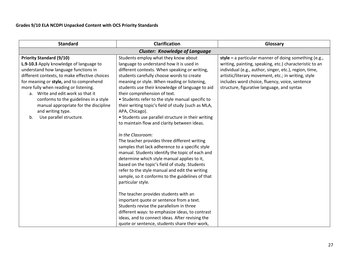| <b>Standard</b>                                                                                                                                                                                                                                                                                                                                                                                                                      | <b>Clarification</b>                                                                                                                                                                                                                                                                                                                                                                                                                                                                                                                                                                                                                                                                       | Glossary                                                                                                                                                                                                                                                                                                                            |
|--------------------------------------------------------------------------------------------------------------------------------------------------------------------------------------------------------------------------------------------------------------------------------------------------------------------------------------------------------------------------------------------------------------------------------------|--------------------------------------------------------------------------------------------------------------------------------------------------------------------------------------------------------------------------------------------------------------------------------------------------------------------------------------------------------------------------------------------------------------------------------------------------------------------------------------------------------------------------------------------------------------------------------------------------------------------------------------------------------------------------------------------|-------------------------------------------------------------------------------------------------------------------------------------------------------------------------------------------------------------------------------------------------------------------------------------------------------------------------------------|
| <b>Cluster: Knowledge of Language</b>                                                                                                                                                                                                                                                                                                                                                                                                |                                                                                                                                                                                                                                                                                                                                                                                                                                                                                                                                                                                                                                                                                            |                                                                                                                                                                                                                                                                                                                                     |
| <b>Priority Standard (9/10)</b><br>L.9-10.3 Apply knowledge of language to<br>understand how language functions in<br>different contexts, to make effective choices<br>for meaning or style, and to comprehend<br>more fully when reading or listening.<br>a. Write and edit work so that it<br>conforms to the guidelines in a style<br>manual appropriate for the discipline<br>and writing type.<br>Use parallel structure.<br>b. | Students employ what they know about<br>language to understand how it is used in<br>different contexts. When speaking or writing,<br>students carefully choose words to create<br>meaning or style. When reading or listening,<br>students use their knowledge of language to aid<br>their comprehension of text.<br>• Students refer to the style manual specific to<br>their writing topic's field of study (such as MLA,<br>APA, Chicago).<br>• Students use parallel structure in their writing<br>to maintain flow and clarity between ideas.                                                                                                                                         | style $-$ a particular manner of doing something (e.g.,<br>writing, painting, speaking, etc.) characteristic to an<br>individual (e.g., author, singer, etc.), region, time,<br>artistic/literary movement, etc.; in writing, style<br>includes word choice, fluency, voice, sentence<br>structure, figurative language, and syntax |
|                                                                                                                                                                                                                                                                                                                                                                                                                                      | In the Classroom:<br>The teacher provides three different writing<br>samples that lack adherence to a specific style<br>manual. Students identify the topic of each and<br>determine which style manual applies to it,<br>based on the topic's field of study. Students<br>refer to the style manual and edit the writing<br>sample, so it conforms to the guidelines of that<br>particular style.<br>The teacher provides students with an<br>important quote or sentence from a text.<br>Students revise the parallelism in three<br>different ways: to emphasize ideas, to contrast<br>ideas, and to connect ideas. After revising the<br>quote or sentence, students share their work, |                                                                                                                                                                                                                                                                                                                                     |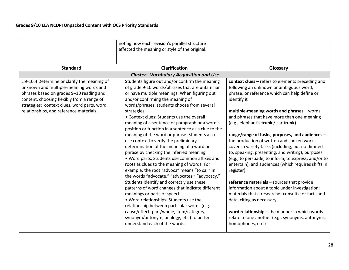|                                                                                                                                                                                                                                                                            | noting how each revision's parallel structure<br>affected the meaning or style of the original.                                                                                                                                                                                                                                                                                                                                                                                                                                                                                                                                                                                                                                                                                                                                                                                                                                                                                                                                                                                                                                                    |                                                                                                                                                                                                                                                                                                                                                                                                                                                                                                                                                                                                                                                                                                                                                                                                                                                                                                                                                      |
|----------------------------------------------------------------------------------------------------------------------------------------------------------------------------------------------------------------------------------------------------------------------------|----------------------------------------------------------------------------------------------------------------------------------------------------------------------------------------------------------------------------------------------------------------------------------------------------------------------------------------------------------------------------------------------------------------------------------------------------------------------------------------------------------------------------------------------------------------------------------------------------------------------------------------------------------------------------------------------------------------------------------------------------------------------------------------------------------------------------------------------------------------------------------------------------------------------------------------------------------------------------------------------------------------------------------------------------------------------------------------------------------------------------------------------------|------------------------------------------------------------------------------------------------------------------------------------------------------------------------------------------------------------------------------------------------------------------------------------------------------------------------------------------------------------------------------------------------------------------------------------------------------------------------------------------------------------------------------------------------------------------------------------------------------------------------------------------------------------------------------------------------------------------------------------------------------------------------------------------------------------------------------------------------------------------------------------------------------------------------------------------------------|
| <b>Standard</b>                                                                                                                                                                                                                                                            | <b>Clarification</b>                                                                                                                                                                                                                                                                                                                                                                                                                                                                                                                                                                                                                                                                                                                                                                                                                                                                                                                                                                                                                                                                                                                               | Glossary                                                                                                                                                                                                                                                                                                                                                                                                                                                                                                                                                                                                                                                                                                                                                                                                                                                                                                                                             |
|                                                                                                                                                                                                                                                                            | <b>Cluster: Vocabulary Acquisition and Use</b>                                                                                                                                                                                                                                                                                                                                                                                                                                                                                                                                                                                                                                                                                                                                                                                                                                                                                                                                                                                                                                                                                                     |                                                                                                                                                                                                                                                                                                                                                                                                                                                                                                                                                                                                                                                                                                                                                                                                                                                                                                                                                      |
| L.9-10.4 Determine or clarify the meaning of<br>unknown and multiple-meaning words and<br>phrases based on grades 9-10 reading and<br>content, choosing flexibly from a range of<br>strategies: context clues, word parts, word<br>relationships, and reference materials. | Students figure out and/or confirm the meaning<br>of grade 9-10 words/phrases that are unfamiliar<br>or have multiple meanings. When figuring out<br>and/or confirming the meaning of<br>words/phrases, students choose from several<br>strategies:<br>• Context clues: Students use the overall<br>meaning of a sentence or paragraph or a word's<br>position or function in a sentence as a clue to the<br>meaning of the word or phrase. Students also<br>use context to verify the preliminary<br>determination of the meaning of a word or<br>phrase by checking the inferred meaning.<br>. Word parts: Students use common affixes and<br>roots as clues to the meaning of words. For<br>example, the root "advoca" means "to call" in<br>the words "advocate," "advocates," "advocacy."<br>Students identify and correctly use these<br>patterns of word changes that indicate different<br>meanings or parts of speech.<br>. Word relationships: Students use the<br>relationship between particular words (e.g.<br>cause/effect, part/whole, item/category,<br>synonym/antonym, analogy, etc.) to better<br>understand each of the words. | context clues - refers to elements preceding and<br>following an unknown or ambiguous word,<br>phrase, or reference which can help define or<br>identify it<br>multiple-meaning words and phrases - words<br>and phrases that have more than one meaning<br>(e.g., elephant's trunk / car trunk)<br>range/range of tasks, purposes, and audiences -<br>the production of written and spoken works<br>covers a variety tasks (including, but not limited<br>to, speaking, presenting, and writing), purposes<br>(e.g., to persuade, to inform, to express, and/or to<br>entertain), and audiences (which requires shifts in<br>register)<br>reference materials - sources that provide<br>information about a topic under investigation;<br>materials that a researcher consults for facts and<br>data, citing as necessary<br>word relationship - the manner in which words<br>relate to one another (e.g., synonyms, antonyms,<br>homophones, etc.) |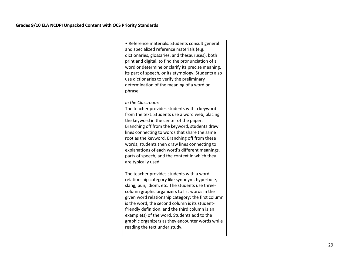| • Reference materials: Students consult general     |  |
|-----------------------------------------------------|--|
| and specialized reference materials (e.g.           |  |
| dictionaries, glossaries, and thesauruses), both    |  |
| print and digital, to find the pronunciation of a   |  |
| word or determine or clarify its precise meaning,   |  |
| its part of speech, or its etymology. Students also |  |
| use dictionaries to verify the preliminary          |  |
| determination of the meaning of a word or           |  |
| phrase.                                             |  |
| In the Classroom:                                   |  |
| The teacher provides students with a keyword        |  |
| from the text. Students use a word web, placing     |  |
| the keyword in the center of the paper.             |  |
| Branching off from the keyword, students draw       |  |
| lines connecting to words that share the same       |  |
| root as the keyword. Branching off from these       |  |
| words, students then draw lines connecting to       |  |
| explanations of each word's different meanings,     |  |
| parts of speech, and the context in which they      |  |
| are typically used.                                 |  |
| The teacher provides students with a word           |  |
| relationship category like synonym, hyperbole,      |  |
| slang, pun, idiom, etc. The students use three-     |  |
| column graphic organizers to list words in the      |  |
| given word relationship category: the first column  |  |
| is the word, the second column is its student-      |  |
| friendly definition, and the third column is an     |  |
| example(s) of the word. Students add to the         |  |
| graphic organizers as they encounter words while    |  |
| reading the text under study.                       |  |
|                                                     |  |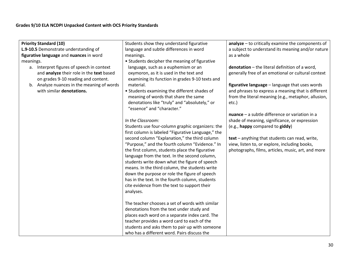| <b>Priority Standard (10)</b>                                                   | Students show they understand figurative                                                               | $analyze - to critically examine the components of$ |
|---------------------------------------------------------------------------------|--------------------------------------------------------------------------------------------------------|-----------------------------------------------------|
| L.9-10.5 Demonstrate understanding of                                           | language and subtle differences in word                                                                | a subject to understand its meaning and/or nature   |
| figurative language and nuances in word                                         | meanings.                                                                                              | as a whole                                          |
| meanings.                                                                       | • Students decipher the meaning of figurative                                                          |                                                     |
| a. Interpret figures of speech in context                                       | language, such as a euphemism or an                                                                    | denotation - the literal definition of a word,      |
| and analyze their role in the text based<br>on grades 9-10 reading and content. | oxymoron, as it is used in the text and<br>examining its function in grades 9-10 texts and             | generally free of an emotional or cultural context  |
| b. Analyze nuances in the meaning of words                                      | material.                                                                                              | figurative language - language that uses words      |
| with similar denotations.                                                       | • Students examining the different shades of                                                           | and phrases to express a meaning that is different  |
|                                                                                 | meaning of words that share the same                                                                   | from the literal meaning (e.g., metaphor, allusion, |
|                                                                                 | denotations like "truly" and "absolutely," or<br>"essence" and "character."                            | etc.)                                               |
|                                                                                 |                                                                                                        | $nuance - a subtle difference or variation in a$    |
|                                                                                 | In the Classroom:                                                                                      | shade of meaning, significance, or expression       |
|                                                                                 | Students use four-column graphic organizers: the<br>first column is labeled "Figurative Language," the | (e.g., happy compared to giddy)                     |
|                                                                                 | second column "Explanation," the third column                                                          | text - anything that students can read, write,      |
|                                                                                 | "Purpose," and the fourth column "Evidence." In                                                        | view, listen to, or explore, including books,       |
|                                                                                 | the first column, students place the figurative                                                        | photographs, films, articles, music, art, and more  |
|                                                                                 | language from the text. In the second column,                                                          |                                                     |
|                                                                                 | students write down what the figure of speech                                                          |                                                     |
|                                                                                 | means. In the third column, the students write                                                         |                                                     |
|                                                                                 | down the purpose or role the figure of speech                                                          |                                                     |
|                                                                                 | has in the text. In the fourth column, students                                                        |                                                     |
|                                                                                 | cite evidence from the text to support their                                                           |                                                     |
|                                                                                 | analyses.                                                                                              |                                                     |
|                                                                                 | The teacher chooses a set of words with similar                                                        |                                                     |
|                                                                                 | denotations from the text under study and                                                              |                                                     |
|                                                                                 | places each word on a separate index card. The                                                         |                                                     |
|                                                                                 | teacher provides a word card to each of the                                                            |                                                     |
|                                                                                 | students and asks them to pair up with someone                                                         |                                                     |
|                                                                                 | who has a different word. Pairs discuss the                                                            |                                                     |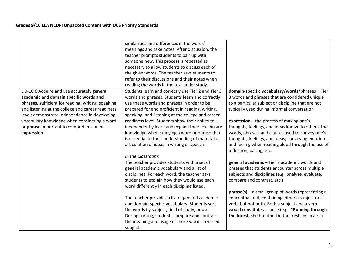|                                                                                                                                                                                                                                                                                                                                                              | similarities and differences in the words'<br>meanings and take notes. After discussion, the<br>teacher prompts students to pair up with<br>someone new. This process is repeated as<br>necessary to allow students to discuss each of<br>the given words. The teacher asks students to<br>refer to their discussions and their notes when<br>reading the words in the text under study.                                                                                                                                                      |                                                                                                                                                                                                                                                                                                                                                                                                                                                                                                   |
|--------------------------------------------------------------------------------------------------------------------------------------------------------------------------------------------------------------------------------------------------------------------------------------------------------------------------------------------------------------|-----------------------------------------------------------------------------------------------------------------------------------------------------------------------------------------------------------------------------------------------------------------------------------------------------------------------------------------------------------------------------------------------------------------------------------------------------------------------------------------------------------------------------------------------|---------------------------------------------------------------------------------------------------------------------------------------------------------------------------------------------------------------------------------------------------------------------------------------------------------------------------------------------------------------------------------------------------------------------------------------------------------------------------------------------------|
| L.9-10.6 Acquire and use accurately general<br>academic and domain specific words and<br>phrases, sufficient for reading, writing, speaking,<br>and listening at the college and career readiness<br>level; demonstrate independence in developing<br>vocabulary knowledge when considering a word<br>or phrase important to comprehension or<br>expression. | Students learn and correctly use Tier 2 and Tier 3<br>words and phrases. Students learn and correctly<br>use these words and phrases in order to be<br>prepared for and proficient in reading, writing,<br>speaking, and listening at the college and career<br>readiness level. Students show their ability to<br>independently learn and expand their vocabulary<br>knowledge when studying a word or phrase that<br>is essential to their understanding of material or<br>articulation of ideas in writing or speech.<br>In the Classroom: | domain-specific vocabulary/words/phrases - Tier<br>3 words and phrases that are considered unique<br>to a particular subject or discipline that are not<br>typically used during informal conversation<br>expression - the process of making one's<br>thoughts, feelings, and ideas known to others; the<br>words, phrases, and clauses used to convey one's<br>thoughts, feelings, and ideas; conveying emotion<br>and feeling when reading aloud through the use of<br>inflection, pacing, etc. |
|                                                                                                                                                                                                                                                                                                                                                              | The teacher provides students with a set of<br>general academic vocabulary and a list of<br>disciplines. For each word, the teacher asks<br>students to explain how they would use each<br>word differently in each discipline listed.<br>The teacher provides a list of general academic<br>and domain-specific vocabulary. Students sort                                                                                                                                                                                                    | general academic - Tier 2 academic words and<br>phrases that students encounter across multiple<br>subjects and disciplines (e.g., analyze, evaluate,<br>compare and contrast, etc.)<br>$phrase(s)$ – a small group of words representing a<br>conceptual unit, containing either a subject or a<br>verb, but not both. Both a subject and a verb                                                                                                                                                 |
|                                                                                                                                                                                                                                                                                                                                                              | the words by subject, field of study, or use.<br>During sorting, students compare and contrast<br>the meaning and usage of these words in varied<br>subjects.                                                                                                                                                                                                                                                                                                                                                                                 | would constitute a clause (e.g., "Running through<br>the forest, she breathed in the fresh, crisp air.")                                                                                                                                                                                                                                                                                                                                                                                          |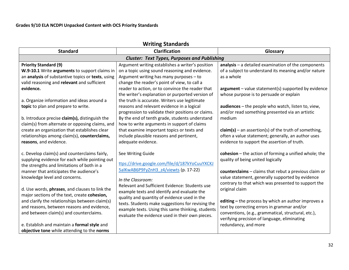| <b>Writing Standards</b>                                                                                                                                                                                                                                                                                                                                                                                                                                              |                                                                                                                                                                                                                                                                                                                                                                                                                                                                                                                                                             |                                                                                                                                                                                                                                                                                                                                                                                                                                                                                                 |
|-----------------------------------------------------------------------------------------------------------------------------------------------------------------------------------------------------------------------------------------------------------------------------------------------------------------------------------------------------------------------------------------------------------------------------------------------------------------------|-------------------------------------------------------------------------------------------------------------------------------------------------------------------------------------------------------------------------------------------------------------------------------------------------------------------------------------------------------------------------------------------------------------------------------------------------------------------------------------------------------------------------------------------------------------|-------------------------------------------------------------------------------------------------------------------------------------------------------------------------------------------------------------------------------------------------------------------------------------------------------------------------------------------------------------------------------------------------------------------------------------------------------------------------------------------------|
| <b>Standard</b>                                                                                                                                                                                                                                                                                                                                                                                                                                                       | Clarification                                                                                                                                                                                                                                                                                                                                                                                                                                                                                                                                               | Glossary                                                                                                                                                                                                                                                                                                                                                                                                                                                                                        |
| <b>Cluster: Text Types, Purposes and Publishing</b>                                                                                                                                                                                                                                                                                                                                                                                                                   |                                                                                                                                                                                                                                                                                                                                                                                                                                                                                                                                                             |                                                                                                                                                                                                                                                                                                                                                                                                                                                                                                 |
| <b>Priority Standard (9)</b><br>W.9-10.1 Write arguments to support claims in<br>an analysis of substantive topics or texts, using<br>valid reasoning and relevant and sufficient<br>evidence.<br>a. Organize information and ideas around a<br>topic to plan and prepare to write.<br>b. Introduce precise claim(s), distinguish the<br>claim(s) from alternate or opposing claims, and                                                                              | Argument writing establishes a writer's position<br>on a topic using sound reasoning and evidence.<br>Argument writing has many purposes - to<br>change the reader's point of view, to call a<br>reader to action, or to convince the reader that<br>the writer's explanation or purported version of<br>the truth is accurate. Writers use legitimate<br>reasons and relevant evidence in a logical<br>progression to validate their positions or claims.<br>By the end of tenth grade, students understand<br>how to write arguments in support of claims | $analysis - a detailed examination of the components$<br>of a subject to understand its meaning and/or nature<br>as a whole<br>$argument - value statement(s) supported by evidence$<br>whose purpose is to persuade or explain<br>audiences - the people who watch, listen to, view,<br>and/or read something presented via an artistic<br>medium                                                                                                                                              |
| create an organization that establishes clear<br>relationships among claim(s), counterclaims,<br>reasons, and evidence.                                                                                                                                                                                                                                                                                                                                               | that examine important topics or texts and<br>include plausible reasons and pertinent,<br>adequate evidence.                                                                                                                                                                                                                                                                                                                                                                                                                                                | $claim(s)$ – an assertion(s) of the truth of something,<br>often a value statement; generally, an author uses<br>evidence to support the assertion of truth.                                                                                                                                                                                                                                                                                                                                    |
| c. Develop claim(s) and counterclaims fairly,<br>supplying evidence for each while pointing out<br>the strengths and limitations of both in a<br>manner that anticipates the audience's<br>knowledge level and concerns.<br>d. Use words, phrases, and clauses to link the<br>major sections of the text, create cohesion,<br>and clarify the relationships between claim(s)<br>and reasons, between reasons and evidence,<br>and between claim(s) and counterclaims. | See Writing Guide<br>ttps://drive.google.com/file/d/187kYoCuuYXCKJ<br>5alKwAB6P9FyZnH3 z4/viewts (p. 17-22)<br>In the Classroom:<br>Relevant and Sufficient Evidence: Students use<br>example texts and identify and evaluate the<br>quality and quantity of evidence used in the<br>texts. Students make suggestions for revising the<br>example texts. Using this same thinking, students<br>evaluate the evidence used in their own pieces.                                                                                                              | cohesion $-$ the action of forming a unified whole; the<br>quality of being united logically<br>counterclaims - claims that rebut a previous claim or<br>value statement, generally supported by evidence<br>contrary to that which was presented to support the<br>original claim<br>editing - the process by which an author improves a<br>text by correcting errors in grammar and/or<br>conventions, (e.g., grammatical, structural, etc.),<br>verifying precision of language, eliminating |
| e. Establish and maintain a formal style and<br>objective tone while attending to the norms                                                                                                                                                                                                                                                                                                                                                                           |                                                                                                                                                                                                                                                                                                                                                                                                                                                                                                                                                             | redundancy, and more                                                                                                                                                                                                                                                                                                                                                                                                                                                                            |

32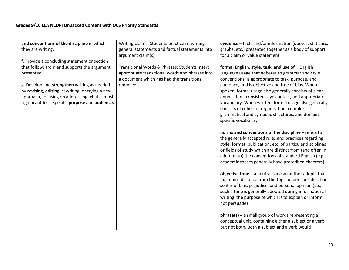| and conventions of the discipline in which       | Writing Claims: Students practice re-writing    | evidence – facts and/or information (quotes, statistics,   |
|--------------------------------------------------|-------------------------------------------------|------------------------------------------------------------|
| they are writing.                                | general statements and factual statements into  | graphs, etc.) presented together as a body of support      |
|                                                  | argument claim(s).                              | for a claim or value statement                             |
| f. Provide a concluding statement or section     |                                                 |                                                            |
| that follows from and supports the argument      | Transitional Words & Phrases: Students insert   | formal English, style, task, and use of - English          |
| presented.                                       | appropriate transitional words and phrases into | language usage that adheres to grammar and style           |
|                                                  | a document which has had the transitions        | conventions, is appropriate to task, purpose, and          |
| g. Develop and strengthen writing as needed      | removed.                                        | audience, and is objective and free of bias. When          |
| by revising, editing, rewriting, or trying a new |                                                 | spoken, formal usage also generally consists of clear      |
| approach, focusing on addressing what is most    |                                                 | enunciation, consistent eye contact, and appropriate       |
| significant for a specific purpose and audience. |                                                 | vocabulary. When written, formal usage also generally      |
|                                                  |                                                 | consists of coherent organization, complex                 |
|                                                  |                                                 | grammatical and syntactic structures, and domain-          |
|                                                  |                                                 | specific vocabulary                                        |
|                                                  |                                                 |                                                            |
|                                                  |                                                 | norms and conventions of the discipline - refers to        |
|                                                  |                                                 | the generally accepted rules and practices regarding       |
|                                                  |                                                 | style, format, publication, etc. of particular disciplines |
|                                                  |                                                 | or fields of study which are distinct from (and often in   |
|                                                  |                                                 | addition to) the conventions of standard English (e.g.,    |
|                                                  |                                                 | academic theses generally have prescribed chapters)        |
|                                                  |                                                 |                                                            |
|                                                  |                                                 | objective tone $-$ a neutral tone an author adopts that    |
|                                                  |                                                 | maintains distance from the topic under consideration      |
|                                                  |                                                 | so it is of bias, prejudice, and personal opinion (i.e.,   |
|                                                  |                                                 | such a tone is generally adopted during informational      |
|                                                  |                                                 | writing, the purpose of which is to explain or inform,     |
|                                                  |                                                 | not persuade)                                              |
|                                                  |                                                 |                                                            |
|                                                  |                                                 | $phrase(s)$ – a small group of words representing a        |
|                                                  |                                                 | conceptual unit, containing either a subject or a verb,    |
|                                                  |                                                 | but not both. Both a subject and a verb would              |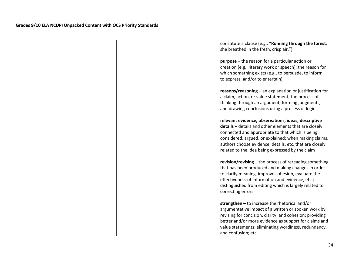| constitute a clause (e.g., "Running through the forest,<br>she breathed in the fresh, crisp air.")                                                                                                                                                                                                                                       |
|------------------------------------------------------------------------------------------------------------------------------------------------------------------------------------------------------------------------------------------------------------------------------------------------------------------------------------------|
| purpose - the reason for a particular action or<br>creation (e.g., literary work or speech); the reason for<br>which something exists (e.g., to persuade, to inform,<br>to express, and/or to entertain)                                                                                                                                 |
| $reasons/reasoning - an explanation or justification for$<br>a claim, action, or value statement; the process of<br>thinking through an argument, forming judgments,<br>and drawing conclusions using a process of logic                                                                                                                 |
| relevant evidence, observations, ideas, descriptive<br>details - details and other elements that are closely<br>connected and appropriate to that which is being<br>considered, argued, or explained; when making claims,<br>authors choose evidence, details, etc. that are closely<br>related to the idea being expressed by the claim |
| revision/revising – the process of rereading something<br>that has been produced and making changes in order<br>to clarify meaning, improve cohesion, evaluate the<br>effectiveness of information and evidence, etc.;<br>distinguished from editing which is largely related to<br>correcting errors                                    |
| strengthen $-$ to increase the rhetorical and/or<br>argumentative impact of a written or spoken work by<br>revising for concision, clarity, and cohesion; providing<br>better and/or more evidence as support for claims and<br>value statements; eliminating wordiness, redundancy,<br>and confusion; etc.                              |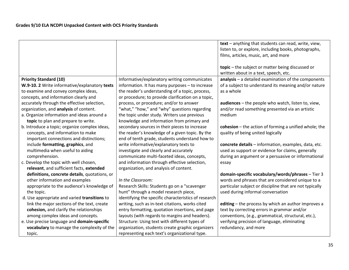|                                               |                                                      | text - anything that students can read, write, view,    |
|-----------------------------------------------|------------------------------------------------------|---------------------------------------------------------|
|                                               |                                                      | listen to, or explore, including books, photographs,    |
|                                               |                                                      | films, articles, music, art, and more                   |
|                                               |                                                      |                                                         |
|                                               |                                                      | topic - the subject or matter being discussed or        |
|                                               |                                                      | written about in a text, speech, etc.                   |
| <b>Priority Standard (10)</b>                 | Informative/explanatory writing communicates         | $analysis - a detailed examination of the components$   |
| W.9-10. 2 Write informative/explanatory texts | information. It has many purposes - to increase      | of a subject to understand its meaning and/or nature    |
| to examine and convey complex ideas,          | the reader's understanding of a topic, process,      | as a whole                                              |
| concepts, and information clearly and         | or procedure; to provide clarification on a topic,   |                                                         |
| accurately through the effective selection,   | process, or procedure; and/or to answer              | audiences - the people who watch, listen to, view,      |
| organization, and analysis of content.        | "what," "how," and "why" questions regarding         | and/or read something presented via an artistic         |
| a. Organize information and ideas around a    | the topic under study. Writers use previous          | medium                                                  |
| topic to plan and prepare to write.           | knowledge and information from primary and           |                                                         |
| b. Introduce a topic; organize complex ideas, | secondary sources in their pieces to increase        | cohesion $-$ the action of forming a unified whole; the |
| concepts, and information to make             | the reader's knowledge of a given topic. By the      | quality of being united logically                       |
| important connections and distinctions;       | end of tenth grade, students understand how to       |                                                         |
| include formatting, graphics, and             | write informative/explanatory texts to               | concrete details - information, examples, data, etc.    |
| multimedia when useful to aiding              | investigate and clearly and accurately               | used as support or evidence for claims, generally       |
| comprehension.                                | communicate multi-faceted ideas, concepts,           | during an argument or a persuasive or informational     |
| c. Develop the topic with well chosen,        | and information through effective selection,         | essay                                                   |
| relevant, and sufficient facts, extended      | organization, and analysis of content.               |                                                         |
| definitions, concrete details, quotations, or |                                                      | domain-specific vocabulary/words/phrases - Tier 3       |
| other information and examples                | In the Classroom:                                    | words and phrases that are considered unique to a       |
| appropriate to the audience's knowledge of    | Research Skills: Students go on a "scavenger         | particular subject or discipline that are not typically |
| the topic.                                    | hunt" through a model research piece,                | used during informal conversation                       |
| d. Use appropriate and varied transitions to  | identifying the specific characteristics of research |                                                         |
| link the major sections of the text, create   | writing, such as in-text citations, works cited      | editing - the process by which an author improves a     |
| cohesion, and clarify the relationships       | entry formatting, quotation insertions, and page     | text by correcting errors in grammar and/or             |
| among complex ideas and concepts.             | layouts (with regards to margins and headers).       | conventions, (e.g., grammatical, structural, etc.),     |
| e. Use precise language and domain-specific   | Structure: Using text with different types of        | verifying precision of language, eliminating            |
| vocabulary to manage the complexity of the    | organization, students create graphic organizers     | redundancy, and more                                    |
| topic.                                        | representing each text's organizational type.        |                                                         |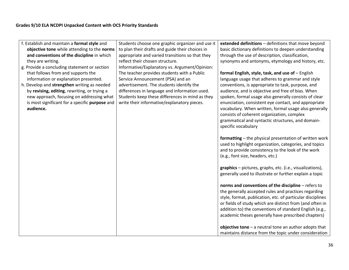| f. Establish and maintain a formal style and   | Students choose one graphic organizer and use it | extended definitions - definitions that move beyond        |
|------------------------------------------------|--------------------------------------------------|------------------------------------------------------------|
| objective tone while attending to the norms    | to plan their drafts and guide their choices in  | basic dictionary definitions to deepen understanding       |
| and conventions of the discipline in which     | appropriate and varied transitions so that they  | through the use of description, classification,            |
| they are writing.                              | reflect their chosen structure.                  | synonyms and antonyms, etymology and history, etc.         |
| g. Provide a concluding statement or section   | Informative/Explanatory vs. Argument/Opinion:    |                                                            |
| that follows from and supports the             | The teacher provides students with a Public      | formal English, style, task, and use of - English          |
| information or explanation presented.          | Service Announcement (PSA) and an                | language usage that adheres to grammar and style           |
| h. Develop and strengthen writing as needed    | advertisement. The students identify the         | conventions, is appropriate to task, purpose, and          |
| by revising, editing, rewriting, or trying a   | differences in language and information used.    | audience, and is objective and free of bias. When          |
| new approach, focusing on addressing what      | Students keep these differences in mind as they  | spoken, formal usage also generally consists of clear      |
| is most significant for a specific purpose and | write their informative/explanatory pieces.      | enunciation, consistent eye contact, and appropriate       |
| audience.                                      |                                                  | vocabulary. When written, formal usage also generally      |
|                                                |                                                  | consists of coherent organization, complex                 |
|                                                |                                                  | grammatical and syntactic structures, and domain-          |
|                                                |                                                  | specific vocabulary                                        |
|                                                |                                                  | formatting - the physical presentation of written work     |
|                                                |                                                  | used to highlight organization, categories, and topics     |
|                                                |                                                  | and to provide consistency to the look of the work         |
|                                                |                                                  | (e.g., font size, headers, etc.)                           |
|                                                |                                                  |                                                            |
|                                                |                                                  | graphics - pictures, graphs, etc. (i.e., visualizations),  |
|                                                |                                                  | generally used to illustrate or further explain a topic    |
|                                                |                                                  |                                                            |
|                                                |                                                  | norms and conventions of the discipline - refers to        |
|                                                |                                                  | the generally accepted rules and practices regarding       |
|                                                |                                                  | style, format, publication, etc. of particular disciplines |
|                                                |                                                  | or fields of study which are distinct from (and often in   |
|                                                |                                                  | addition to) the conventions of standard English (e.g.,    |
|                                                |                                                  | academic theses generally have prescribed chapters)        |
|                                                |                                                  | objective tone $-$ a neutral tone an author adopts that    |
|                                                |                                                  | maintains distance from the topic under consideration      |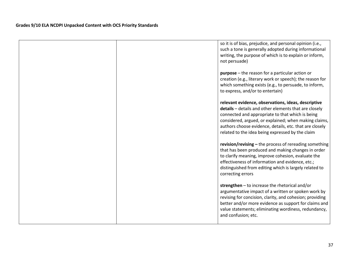| so it is of bias, prejudice, and personal opinion (i.e.,<br>such a tone is generally adopted during informational<br>writing, the purpose of which is to explain or inform,<br>not persuade)                                                                                                                                             |
|------------------------------------------------------------------------------------------------------------------------------------------------------------------------------------------------------------------------------------------------------------------------------------------------------------------------------------------|
| <b>purpose</b> $-$ the reason for a particular action or<br>creation (e.g., literary work or speech); the reason for<br>which something exists (e.g., to persuade, to inform,<br>to express, and/or to entertain)                                                                                                                        |
| relevant evidence, observations, ideas, descriptive<br>details - details and other elements that are closely<br>connected and appropriate to that which is being<br>considered, argued, or explained; when making claims,<br>authors choose evidence, details, etc. that are closely<br>related to the idea being expressed by the claim |
| revision/revising $-$ the process of rereading something<br>that has been produced and making changes in order<br>to clarify meaning, improve cohesion, evaluate the<br>effectiveness of information and evidence, etc.;<br>distinguished from editing which is largely related to<br>correcting errors                                  |
| strengthen - to increase the rhetorical and/or<br>argumentative impact of a written or spoken work by<br>revising for concision, clarity, and cohesion; providing<br>better and/or more evidence as support for claims and<br>value statements; eliminating wordiness, redundancy,<br>and confusion; etc.                                |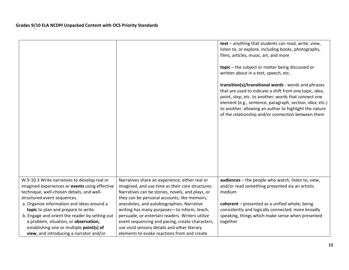|                                                                                                |                                                                                                    | text - anything that students can read, write, view,<br>listen to, or explore, including books, photographs,                                                                                                                                                                                                                                        |
|------------------------------------------------------------------------------------------------|----------------------------------------------------------------------------------------------------|-----------------------------------------------------------------------------------------------------------------------------------------------------------------------------------------------------------------------------------------------------------------------------------------------------------------------------------------------------|
|                                                                                                |                                                                                                    | films, articles, music, art, and more                                                                                                                                                                                                                                                                                                               |
|                                                                                                |                                                                                                    | topic - the subject or matter being discussed or<br>written about in a text, speech, etc.                                                                                                                                                                                                                                                           |
|                                                                                                |                                                                                                    | transition(s)/transitional words - words and phrases<br>that are used to indicate a shift from one topic, idea,<br>point, step, etc. to another; words that connect one<br>element (e.g., sentence, paragraph, section, idea, etc.)<br>to another, allowing an author to highlight the nature<br>of the relationship and/or connection between them |
|                                                                                                |                                                                                                    |                                                                                                                                                                                                                                                                                                                                                     |
|                                                                                                |                                                                                                    |                                                                                                                                                                                                                                                                                                                                                     |
| W.9-10.3 Write narratives to develop real or<br>imagined experiences or events using effective | Narratives share an experience, either real or<br>imagined, and use time as their core structures. | audiences - the people who watch, listen to, view,<br>and/or read something presented via an artistic                                                                                                                                                                                                                                               |
| technique, well-chosen details, and well-<br>structured event sequences.                       | Narratives can be stories, novels, and plays, or<br>they can be personal accounts, like memoirs,   | medium                                                                                                                                                                                                                                                                                                                                              |
| a. Organize information and ideas around a                                                     | anecdotes, and autobiographies. Narrative                                                          | coherent - presented as a unified whole; being                                                                                                                                                                                                                                                                                                      |
| topic to plan and prepare to write.                                                            | writing has many purposes-to inform, teach,                                                        | consistently and logically connected; more broadly                                                                                                                                                                                                                                                                                                  |
| b. Engage and orient the reader by setting out                                                 | persuade, or entertain readers. Writers utilize                                                    | speaking, things which make sense when presented                                                                                                                                                                                                                                                                                                    |
| a problem, situation, or observation,                                                          | event sequencing and pacing, create characters,                                                    | together                                                                                                                                                                                                                                                                                                                                            |
| establishing one or multiple point(s) of                                                       | use vivid sensory details and other literary                                                       |                                                                                                                                                                                                                                                                                                                                                     |
| view, and introducing a narrator and/or                                                        | elements to evoke reactions from and create                                                        |                                                                                                                                                                                                                                                                                                                                                     |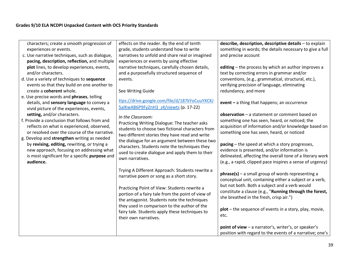| characters; create a smooth progression of<br>experiences or events.<br>c. Use narrative techniques, such as dialogue,<br>pacing, description, reflection, and multiple<br>plot lines, to develop experiences, events,<br>and/or characters.<br>d. Use a variety of techniques to sequence<br>events so that they build on one another to | effects on the reader. By the end of tenth<br>grade, students understand how to write<br>narratives to unfold and share real or imagined<br>experiences or events by using effective<br>narrative techniques, carefully chosen details,<br>and a purposefully structured sequence of<br>events. | describe, description, descriptive details - to explain<br>something in words; the details necessary to give a full<br>and precise account<br>editing - the process by which an author improves a<br>text by correcting errors in grammar and/or<br>conventions, (e.g., grammatical, structural, etc.),<br>verifying precision of language, eliminating |
|-------------------------------------------------------------------------------------------------------------------------------------------------------------------------------------------------------------------------------------------------------------------------------------------------------------------------------------------|-------------------------------------------------------------------------------------------------------------------------------------------------------------------------------------------------------------------------------------------------------------------------------------------------|---------------------------------------------------------------------------------------------------------------------------------------------------------------------------------------------------------------------------------------------------------------------------------------------------------------------------------------------------------|
| create a coherent whole.<br>e. Use precise words and phrases, telling<br>details, and sensory language to convey a<br>vivid picture of the experiences, events,                                                                                                                                                                           | See Writing Guide<br>ttps://drive.google.com/file/d/187kYoCuuYXCKJ<br>5alKwAB6P9FyZnH3 z4/viewts (p. 17-22)                                                                                                                                                                                     | redundancy, and more<br>event - a thing that happens; an occurrence                                                                                                                                                                                                                                                                                     |
| setting, and/or characters.<br>f. Provide a conclusion that follows from and<br>reflects on what is experienced, observed,<br>or resolved over the course of the narrative.<br>g. Develop and strengthen writing as needed                                                                                                                | In the Classroom:<br>Practicing Writing Dialogue: The teacher asks<br>students to choose two fictional characters from<br>two different stories they have read and write                                                                                                                        | observation - a statement or comment based on<br>something one has seen, heard, or noticed; the<br>acquisition of information and/or knowledge based on<br>something one has seen, heard, or noticed                                                                                                                                                    |
| by revising, editing, rewriting, or trying a<br>new approach, focusing on addressing what<br>is most significant for a specific purpose and<br>audience.                                                                                                                                                                                  | the dialogue for an argument between these two<br>characters. Students note the techniques they<br>used to create dialogue and apply them to their<br>own narratives.                                                                                                                           | pacing – the speed at which a story progresses,<br>evidence is presented, and/or information is<br>delineated, affecting the overall tone of a literary work<br>(e.g., a rapid, clipped pace inspires a sense of urgency)                                                                                                                               |
|                                                                                                                                                                                                                                                                                                                                           | Trying A Different Approach: Students rewrite a<br>narrative poem or song as a short story.                                                                                                                                                                                                     | $phrase(s)$ – a small group of words representing a<br>conceptual unit, containing either a subject or a verb,                                                                                                                                                                                                                                          |
|                                                                                                                                                                                                                                                                                                                                           | Practicing Point of View: Students rewrite a<br>portion of a fairy tale from the point of view of<br>the antagonist. Students note the techniques                                                                                                                                               | but not both. Both a subject and a verb would<br>constitute a clause (e.g., "Running through the forest,<br>she breathed in the fresh, crisp air.")                                                                                                                                                                                                     |
|                                                                                                                                                                                                                                                                                                                                           | they used in comparison to the author of the<br>fairy tale. Students apply these techniques to<br>their own narratives.                                                                                                                                                                         | $plot$ – the sequence of events in a story, play, movie,<br>etc.                                                                                                                                                                                                                                                                                        |
|                                                                                                                                                                                                                                                                                                                                           |                                                                                                                                                                                                                                                                                                 | point of view - a narrator's, writer's, or speaker's<br>position with regard to the events of a narrative; one's                                                                                                                                                                                                                                        |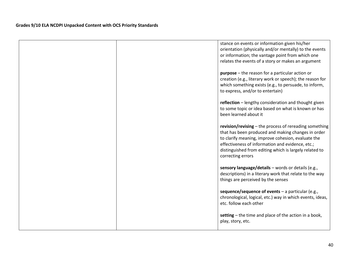|  | stance on events or information given his/her             |
|--|-----------------------------------------------------------|
|  | orientation (physically and/or mentally) to the events    |
|  | or information; the vantage point from which one          |
|  | relates the events of a story or makes an argument        |
|  | $purpose$ – the reason for a particular action or         |
|  | creation (e.g., literary work or speech); the reason for  |
|  | which something exists (e.g., to persuade, to inform,     |
|  | to express, and/or to entertain)                          |
|  |                                                           |
|  | reflection - lengthy consideration and thought given      |
|  | to some topic or idea based on what is known or has       |
|  | been learned about it                                     |
|  |                                                           |
|  | revision/revising - the process of rereading something    |
|  | that has been produced and making changes in order        |
|  | to clarify meaning, improve cohesion, evaluate the        |
|  | effectiveness of information and evidence, etc.;          |
|  | distinguished from editing which is largely related to    |
|  | correcting errors                                         |
|  | sensory language/details - words or details (e.g.,        |
|  | descriptions) in a literary work that relate to the way   |
|  | things are perceived by the senses                        |
|  |                                                           |
|  | sequence/sequence of events $-$ a particular (e.g.,       |
|  | chronological, logical, etc.) way in which events, ideas, |
|  | etc. follow each other                                    |
|  |                                                           |
|  | setting – the time and place of the action in a book,     |
|  | play, story, etc.                                         |
|  |                                                           |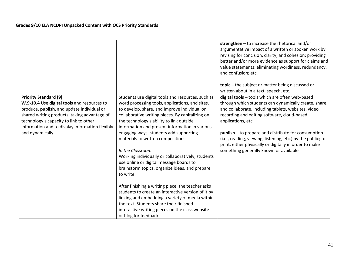|                                                                                                                                                                                                                                                                                            |                                                                                                                                                                                                                                                                                                                                                                                                                                                                                                             | strengthen $-$ to increase the rhetorical and/or<br>argumentative impact of a written or spoken work by<br>revising for concision, clarity, and cohesion; providing<br>better and/or more evidence as support for claims and<br>value statements; eliminating wordiness, redundancy,<br>and confusion; etc.<br>topic – the subject or matter being discussed or                                                                                                       |
|--------------------------------------------------------------------------------------------------------------------------------------------------------------------------------------------------------------------------------------------------------------------------------------------|-------------------------------------------------------------------------------------------------------------------------------------------------------------------------------------------------------------------------------------------------------------------------------------------------------------------------------------------------------------------------------------------------------------------------------------------------------------------------------------------------------------|-----------------------------------------------------------------------------------------------------------------------------------------------------------------------------------------------------------------------------------------------------------------------------------------------------------------------------------------------------------------------------------------------------------------------------------------------------------------------|
|                                                                                                                                                                                                                                                                                            |                                                                                                                                                                                                                                                                                                                                                                                                                                                                                                             | written about in a text, speech, etc.                                                                                                                                                                                                                                                                                                                                                                                                                                 |
| <b>Priority Standard (9)</b><br>W.9-10.4 Use digital tools and resources to<br>produce, publish, and update individual or<br>shared writing products, taking advantage of<br>technology's capacity to link to other<br>information and to display information flexibly<br>and dynamically. | Students use digital tools and resources, such as<br>word processing tools, applications, and sites,<br>to develop, share, and improve individual or<br>collaborative writing pieces. By capitalizing on<br>the technology's ability to link outside<br>information and present information in various<br>engaging ways, students add supporting<br>materials to written compositions.<br>In the Classroom:<br>Working individually or collaboratively, students<br>use online or digital message boards to | digital tools - tools which are often web-based<br>through which students can dynamically create, share,<br>and collaborate, including tablets, websites, video<br>recording and editing software, cloud-based<br>applications, etc.<br><b>publish</b> – to prepare and distribute for consumption<br>(i.e., reading, viewing, listening, etc.) by the public; to<br>print, either physically or digitally in order to make<br>something generally known or available |
|                                                                                                                                                                                                                                                                                            | brainstorm topics, organize ideas, and prepare<br>to write.                                                                                                                                                                                                                                                                                                                                                                                                                                                 |                                                                                                                                                                                                                                                                                                                                                                                                                                                                       |
|                                                                                                                                                                                                                                                                                            | After finishing a writing piece, the teacher asks<br>students to create an interactive version of it by<br>linking and embedding a variety of media within<br>the text. Students share their finished<br>interactive writing pieces on the class website<br>or blog for feedback.                                                                                                                                                                                                                           |                                                                                                                                                                                                                                                                                                                                                                                                                                                                       |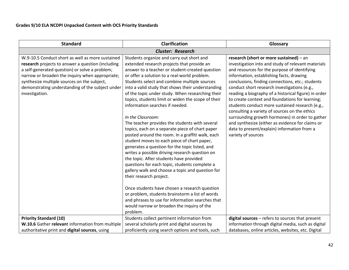| <b>Standard</b>                                                                                                                                                                                                                                                                                                                 | Clarification                                                                                                                                                                                                                                                                                                                                                                                                                                                                                                                                                                                                                                                                                                                                                                                                                                                                                                                                                                                                                                                                                                                                                              | Glossary                                                                                                                                                                                                                                                                                                                                                                                                                                                                                                                                                                                                                                                                                 |
|---------------------------------------------------------------------------------------------------------------------------------------------------------------------------------------------------------------------------------------------------------------------------------------------------------------------------------|----------------------------------------------------------------------------------------------------------------------------------------------------------------------------------------------------------------------------------------------------------------------------------------------------------------------------------------------------------------------------------------------------------------------------------------------------------------------------------------------------------------------------------------------------------------------------------------------------------------------------------------------------------------------------------------------------------------------------------------------------------------------------------------------------------------------------------------------------------------------------------------------------------------------------------------------------------------------------------------------------------------------------------------------------------------------------------------------------------------------------------------------------------------------------|------------------------------------------------------------------------------------------------------------------------------------------------------------------------------------------------------------------------------------------------------------------------------------------------------------------------------------------------------------------------------------------------------------------------------------------------------------------------------------------------------------------------------------------------------------------------------------------------------------------------------------------------------------------------------------------|
| <b>Cluster: Research</b>                                                                                                                                                                                                                                                                                                        |                                                                                                                                                                                                                                                                                                                                                                                                                                                                                                                                                                                                                                                                                                                                                                                                                                                                                                                                                                                                                                                                                                                                                                            |                                                                                                                                                                                                                                                                                                                                                                                                                                                                                                                                                                                                                                                                                          |
| W.9-10.5 Conduct short as well as more sustained<br>research projects to answer a question (including<br>a self-generated question) or solve a problem;<br>narrow or broaden the inquiry when appropriate;<br>synthesize multiple sources on the subject,<br>demonstrating understanding of the subject under<br>investigation. | Students organize and carry out short and<br>extended research projects that provide an<br>answer to a teacher or student-created question<br>or offer a solution to a real-world problem.<br>Students select and combine multiple sources<br>into a valid study that shows their understanding<br>of the topic under study. When researching their<br>topics, students limit or widen the scope of their<br>information searches if needed.<br>In the Classroom:<br>The teacher provides the students with several<br>topics, each on a separate piece of chart paper<br>posted around the room. In a graffiti walk, each<br>student moves to each piece of chart paper,<br>generates a question for the topic listed, and<br>writes a possible driving research question on<br>the topic. After students have provided<br>questions for each topic, students complete a<br>gallery walk and choose a topic and question for<br>their research project.<br>Once students have chosen a research question<br>or problem, students brainstorm a list of words<br>and phrases to use for information searches that<br>would narrow or broaden the inquiry of the<br>problem. | research (short or more sustained) - an<br>investigation into and study of relevant materials<br>and resources for the purpose of identifying<br>information, establishing facts, drawing<br>conclusions, finding connections, etc.; students<br>conduct short research investigations (e.g.,<br>reading a biography of a historical figure) in order<br>to create context and foundations for learning;<br>students conduct more sustained research (e.g.,<br>consulting a variety of sources on the ethics<br>surrounding growth hormones) in order to gather<br>and synthesize (either as evidence for claims or<br>data to present/explain) information from a<br>variety of sources |
| <b>Priority Standard (10)</b>                                                                                                                                                                                                                                                                                                   | Students collect pertinent information from                                                                                                                                                                                                                                                                                                                                                                                                                                                                                                                                                                                                                                                                                                                                                                                                                                                                                                                                                                                                                                                                                                                                | digital sources - refers to sources that present                                                                                                                                                                                                                                                                                                                                                                                                                                                                                                                                                                                                                                         |
| W.10.6 Gather relevant information from multiple                                                                                                                                                                                                                                                                                | several scholarly print and digital sources by                                                                                                                                                                                                                                                                                                                                                                                                                                                                                                                                                                                                                                                                                                                                                                                                                                                                                                                                                                                                                                                                                                                             | information through digital media, such as digital                                                                                                                                                                                                                                                                                                                                                                                                                                                                                                                                                                                                                                       |
| authoritative print and digital sources, using                                                                                                                                                                                                                                                                                  | proficiently using search options and tools, such                                                                                                                                                                                                                                                                                                                                                                                                                                                                                                                                                                                                                                                                                                                                                                                                                                                                                                                                                                                                                                                                                                                          | databases, online articles, websites, etc. Digital                                                                                                                                                                                                                                                                                                                                                                                                                                                                                                                                                                                                                                       |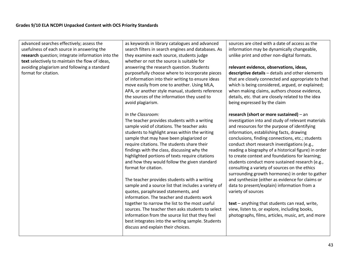| advanced searches effectively; assess the         | as keywords in library catalogues and advanced      | sources are cited with a date of access as the       |
|---------------------------------------------------|-----------------------------------------------------|------------------------------------------------------|
| usefulness of each source in answering the        | search filters in search engines and databases. As  | information may be dynamically changeable,           |
| research question; integrate information into the | they examine each source, students judge            | unlike print and other non-digital formats.          |
| text selectively to maintain the flow of ideas,   | whether or not the source is suitable for           |                                                      |
| avoiding plagiarism and following a standard      | answering the research question. Students           | relevant evidence, observations, ideas,              |
| format for citation.                              | purposefully choose where to incorporate pieces     | descriptive details - details and other elements     |
|                                                   | of information into their writing to ensure ideas   | that are closely connected and appropriate to that   |
|                                                   | move easily from one to another. Using MLA,         | which is being considered, argued, or explained;     |
|                                                   | APA, or another style manual, students reference    | when making claims, authors choose evidence,         |
|                                                   | the sources of the information they used to         | details, etc. that are closely related to the idea   |
|                                                   | avoid plagiarism.                                   | being expressed by the claim                         |
|                                                   |                                                     |                                                      |
|                                                   | In the Classroom:                                   | research (short or more sustained) - an              |
|                                                   | The teacher provides students with a writing        | investigation into and study of relevant materials   |
|                                                   | sample void of citations. The teacher asks          | and resources for the purpose of identifying         |
|                                                   | students to highlight areas within the writing      | information, establishing facts, drawing             |
|                                                   | sample that may have been plagiarized or            | conclusions, finding connections, etc.; students     |
|                                                   | require citations. The students share their         | conduct short research investigations (e.g.,         |
|                                                   | findings with the class, discussing why the         | reading a biography of a historical figure) in order |
|                                                   | highlighted portions of texts require citations     | to create context and foundations for learning;      |
|                                                   | and how they would follow the given standard        | students conduct more sustained research (e.g.,      |
|                                                   | format for citation.                                | consulting a variety of sources on the ethics        |
|                                                   |                                                     | surrounding growth hormones) in order to gather      |
|                                                   | The teacher provides students with a writing        | and synthesize (either as evidence for claims or     |
|                                                   | sample and a source list that includes a variety of | data to present/explain) information from a          |
|                                                   | quotes, paraphrased statements, and                 | variety of sources                                   |
|                                                   | information. The teacher and students work          |                                                      |
|                                                   | together to narrow the list to the most useful      | text - anything that students can read, write,       |
|                                                   | sources. The teacher then asks students to select   | view, listen to, or explore, including books,        |
|                                                   | information from the source list that they feel     | photographs, films, articles, music, art, and more   |
|                                                   | best integrates into the writing sample. Students   |                                                      |
|                                                   | discuss and explain their choices.                  |                                                      |
|                                                   |                                                     |                                                      |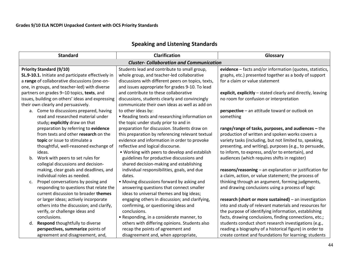| <b>Speaking and Listening Standards</b> |  |  |
|-----------------------------------------|--|--|
|-----------------------------------------|--|--|

| <b>Standard</b>                                    | <b>Clarification</b>                               | Glossary                                                    |
|----------------------------------------------------|----------------------------------------------------|-------------------------------------------------------------|
| <b>Cluster- Collaboration and Communication</b>    |                                                    |                                                             |
| <b>Priority Standard (9/10)</b>                    | Students lead and contribute to small group,       | evidence - facts and/or information (quotes, statistics,    |
| SL.9-10.1. Initiate and participate effectively in | whole group, and teacher-led collaborative         | graphs, etc.) presented together as a body of support       |
| a range of collaborative discussions (one-on-      | discussions with different peers on topics, texts, | for a claim or value statement                              |
| one, in groups, and teacher-led) with diverse      | and issues appropriate for grades 9-10. To lead    |                                                             |
| partners on grades 9-10 topics, texts, and         | and contribute to these collaborative              | explicit, explicitly - stated clearly and directly, leaving |
| issues, building on others' ideas and expressing   | discussions, students clearly and convincingly     | no room for confusion or interpretation                     |
| their own clearly and persuasively.                | communicate their own ideas as well as add on      |                                                             |
| a. Come to discussions prepared, having            | to other ideas by:                                 | perspective - an attitude toward or outlook on              |
| read and researched material under                 | • Reading texts and researching information on     | something                                                   |
| study; explicitly draw on that                     | the topic under study prior to and in              |                                                             |
| preparation by referring to evidence               | preparation for discussion. Students draw on       | range/range of tasks, purposes, and audiences $-$ the       |
| from texts and other research on the               | this preparation by referencing relevant textual   | production of written and spoken works covers a             |
| topic or issue to stimulate a                      | evidence and information in order to provoke       | variety tasks (including, but not limited to, speaking,     |
| thoughtful, well-reasoned exchange of              | reflective and logical discourse.                  | presenting, and writing), purposes (e.g., to persuade,      |
| ideas.                                             | • Working with peers to develop and establish      | to inform, to express, and/or to entertain), and            |
| Work with peers to set rules for<br>b.             | guidelines for productive discussions and          | audiences (which requires shifts in register)               |
| collegial discussions and decision-                | shared decision-making and establishing            |                                                             |
| making, clear goals and deadlines, and             | individual responsibilities, goals, and due        | reasons/reasoning - an explanation or justification for     |
| individual roles as needed.                        | dates.                                             | a claim, action, or value statement; the process of         |
| Propel conversations by posing and<br>c.           | • Moving discussions forward by asking and         | thinking through an argument, forming judgments,            |
| responding to questions that relate the            | answering questions that connect smaller           | and drawing conclusions using a process of logic            |
| current discussion to broader themes               | ideas to universal themes and big ideas;           |                                                             |
| or larger ideas; actively incorporate              | engaging others in discussion; and clarifying,     | research (short or more sustained) - an investigation       |
| others into the discussion; and clarify,           | confirming, or questioning ideas and               | into and study of relevant materials and resources for      |
| verify, or challenge ideas and                     | conclusions.                                       | the purpose of identifying information, establishing        |
| conclusions.                                       | • Responding, in a considerate manner, to          | facts, drawing conclusions, finding connections, etc.;      |
| Respond thoughtfully to diverse<br>d.              | others with differing opinions. Students also      | students conduct short research investigations (e.g.,       |
| perspectives, summarize points of                  | recap the points of agreement and                  | reading a biography of a historical figure) in order to     |
| agreement and disagreement, and,                   | disagreement and, when appropriate,                | create context and foundations for learning; students       |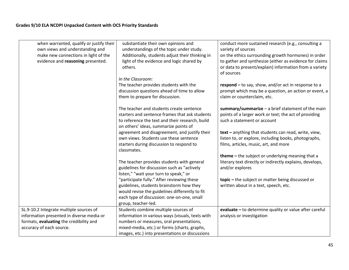| when warranted, qualify or justify their  | substantiate their own opinions and              | conduct more sustained research (e.g., consulting a      |
|-------------------------------------------|--------------------------------------------------|----------------------------------------------------------|
| own views and understanding and           | understandings of the topic under study.         | variety of sources                                       |
| make new connections in light of the      | Additionally, students adjust their thinking in  | on the ethics surrounding growth hormones) in order      |
| evidence and reasoning presented.         | light of the evidence and logic shared by        | to gather and synthesize (either as evidence for claims  |
|                                           | others.                                          | or data to present/explain) information from a variety   |
|                                           |                                                  | of sources                                               |
|                                           | In the Classroom:                                |                                                          |
|                                           | The teacher provides students with the           | respond $-$ to say, show, and/or act in response to a    |
|                                           | discussion questions ahead of time to allow      | prompt which may be a question, an action or event, a    |
|                                           | them to prepare for discussion.                  | claim or counterclaim, etc.                              |
|                                           |                                                  |                                                          |
|                                           | The teacher and students create sentence         | summary/summarize $-$ a brief statement of the main      |
|                                           | starters and sentence frames that ask students   | points of a larger work or text; the act of providing    |
|                                           | to reference the text and their research, build  | such a statement or account                              |
|                                           | on others' ideas, summarize points of            |                                                          |
|                                           | agreement and disagreement, and justify their    | text - anything that students can read, write, view,     |
|                                           | own views. Students use these sentence           |                                                          |
|                                           |                                                  | listen to, or explore, including books, photographs,     |
|                                           | starters during discussion to respond to         | films, articles, music, art, and more                    |
|                                           | classmates.                                      |                                                          |
|                                           |                                                  | theme - the subject or underlying meaning that a         |
|                                           | The teacher provides students with general       | literary text directly or indirectly explains, develops, |
|                                           | guidelines for discussion such as "actively      | and/or explores                                          |
|                                           | listen," "wait your turn to speak," or           |                                                          |
|                                           | "participate fully." After reviewing these       | topic - the subject or matter being discussed or         |
|                                           | guidelines, students brainstorm how they         | written about in a text, speech, etc.                    |
|                                           | would revise the guidelines differently to fit   |                                                          |
|                                           | each type of discussion: one-on-one, small       |                                                          |
|                                           | group, teacher-led.                              |                                                          |
| SL.9-10.2 Integrate multiple sources of   | Students combine multiple sources of             | evaluate - to determine quality or value after careful   |
|                                           |                                                  |                                                          |
| information presented in diverse media or | information in various ways (visuals, texts with | analysis or investigation                                |
| formats, evaluating the credibility and   | numbers or measures, oral presentations,         |                                                          |
| accuracy of each source.                  | mixed-media, etc.) or forms (charts, graphs,     |                                                          |
|                                           | images, etc.) into presentations or discussions  |                                                          |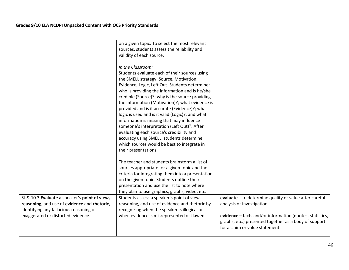|                                                                                                                                                                                | on a given topic. To select the most relevant<br>sources, students assess the reliability and<br>validity of each source.                                                                                                                                                                                                                                                                                                                                                                                                                                                                                                                                                               |                                                                                                                                                                                                                                            |
|--------------------------------------------------------------------------------------------------------------------------------------------------------------------------------|-----------------------------------------------------------------------------------------------------------------------------------------------------------------------------------------------------------------------------------------------------------------------------------------------------------------------------------------------------------------------------------------------------------------------------------------------------------------------------------------------------------------------------------------------------------------------------------------------------------------------------------------------------------------------------------------|--------------------------------------------------------------------------------------------------------------------------------------------------------------------------------------------------------------------------------------------|
|                                                                                                                                                                                | In the Classroom:<br>Students evaluate each of their sources using<br>the SMELL strategy: Source, Motivation,<br>Evidence, Logic, Left Out. Students determine:<br>who is providing the information and is he/she<br>credible (Source)?; why is the source providing<br>the information (Motivation)?; what evidence is<br>provided and is it accurate (Evidence)?; what<br>logic is used and is it valid (Logic)?; and what<br>information is missing that may influence<br>someone's interpretation (Left Out)?. After<br>evaluating each source's credibility and<br>accuracy using SMELL, students determine<br>which sources would be best to integrate in<br>their presentations. |                                                                                                                                                                                                                                            |
|                                                                                                                                                                                | The teacher and students brainstorm a list of<br>sources appropriate for a given topic and the<br>criteria for integrating them into a presentation<br>on the given topic. Students outline their<br>presentation and use the list to note where<br>they plan to use graphics, graphs, video, etc.                                                                                                                                                                                                                                                                                                                                                                                      |                                                                                                                                                                                                                                            |
| SL.9-10.3 Evaluate a speaker's point of view,<br>reasoning, and use of evidence and rhetoric,<br>identifying any fallacious reasoning or<br>exaggerated or distorted evidence. | Students assess a speaker's point of view,<br>reasoning, and use of evidence and rhetoric by<br>recognizing when the speaker is illogical or<br>when evidence is misrepresented or flawed.                                                                                                                                                                                                                                                                                                                                                                                                                                                                                              | evaluate - to determine quality or value after careful<br>analysis or investigation<br>evidence - facts and/or information (quotes, statistics,<br>graphs, etc.) presented together as a body of support<br>for a claim or value statement |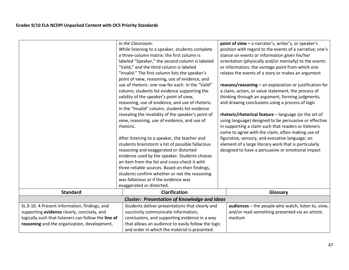|                                                      | In the Classroom:                                   | point of view - a narrator's, writer's, or speaker's      |
|------------------------------------------------------|-----------------------------------------------------|-----------------------------------------------------------|
|                                                      | While listening to a speaker, students complete     | position with regard to the events of a narrative; one's  |
|                                                      | a three-column matrix: the first column is          | stance on events or information given his/her             |
|                                                      | labeled "Speaker," the second column is labeled     | orientation (physically and/or mentally) to the events    |
|                                                      | "Valid," and the third column is labeled            | or information; the vantage point from which one          |
|                                                      | "Invalid." The first column lists the speaker's     | relates the events of a story or makes an argument        |
|                                                      | point of view, reasoning, use of evidence, and      |                                                           |
|                                                      | use of rhetoric: one row for each. In the "Valid"   | $reasons/reasoning - an explanation or justification for$ |
|                                                      | column, students list evidence supporting the       | a claim, action, or value statement; the process of       |
|                                                      | validity of the speaker's point of view,            | thinking through an argument, forming judgments,          |
|                                                      | reasoning, use of evidence, and use of rhetoric.    | and drawing conclusions using a process of logic          |
|                                                      | In the "Invalid" column, students list evidence     |                                                           |
|                                                      | revealing the invalidity of the speaker's point of  | rhetoric/rhetorical feature - language (or the art of     |
|                                                      | view, reasoning, use of evidence, and use of        | using language) designed to be persuasive or effective    |
|                                                      | rhetoric.                                           | in supporting a claim such that readers or listeners      |
|                                                      |                                                     | come to agree with the claim, often making use of         |
|                                                      | After listening to a speaker, the teacher and       | figurative, sensory, and evocative language; an           |
|                                                      | students brainstorm a list of possible fallacious   | element of a large literary work that is particularly     |
|                                                      | reasoning and exaggerated or distorted              | designed to have a persuasive or emotional impact         |
|                                                      | evidence used by the speaker. Students choose       |                                                           |
|                                                      | an item from the list and cross-check it with       |                                                           |
|                                                      | three reliable sources. Based on their findings,    |                                                           |
|                                                      | students confirm whether or not the reasoning       |                                                           |
|                                                      | was fallacious or if the evidence was               |                                                           |
|                                                      | exaggerated or distorted.                           |                                                           |
| <b>Standard</b>                                      | <b>Clarification</b>                                | Glossary                                                  |
|                                                      | <b>Cluster: Presentation of Knowledge and Ideas</b> |                                                           |
| SL.9-10. 4 Present information, findings, and        | Students deliver presentations that clearly and     | audiences - the people who watch, listen to, view,        |
| supporting evidence clearly, concisely, and          | succinctly communicate information,                 | and/or read something presented via an artistic           |
| logically such that listeners can follow the line of | conclusions, and supporting evidence in a way       | medium                                                    |
| reasoning and the organization, development,         | that allows an audience to easily follow the logic  |                                                           |
|                                                      | and order in which the material is presented.       |                                                           |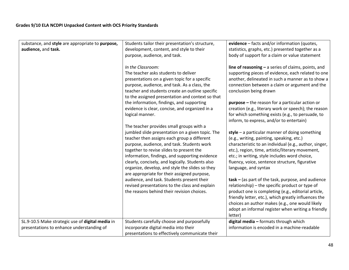| substance, and style are appropriate to purpose,<br>audience, and task.                       | Students tailor their presentation's structure,<br>development, content, and style to their<br>purpose, audience, and task.                                                                                                                                                                                                                                                                                                                                                                                                                                                                 | evidence - facts and/or information (quotes,<br>statistics, graphs, etc.) presented together as a<br>body of support for a claim or value statement                                                                                                                                                                                                                                                                                                                                                                                                                                                                  |
|-----------------------------------------------------------------------------------------------|---------------------------------------------------------------------------------------------------------------------------------------------------------------------------------------------------------------------------------------------------------------------------------------------------------------------------------------------------------------------------------------------------------------------------------------------------------------------------------------------------------------------------------------------------------------------------------------------|----------------------------------------------------------------------------------------------------------------------------------------------------------------------------------------------------------------------------------------------------------------------------------------------------------------------------------------------------------------------------------------------------------------------------------------------------------------------------------------------------------------------------------------------------------------------------------------------------------------------|
|                                                                                               | In the Classroom:<br>The teacher asks students to deliver<br>presentations on a given topic for a specific<br>purpose, audience, and task. As a class, the<br>teacher and students create an outline specific<br>to the assigned presentation and context so that<br>the information, findings, and supporting<br>evidence is clear, concise, and organized in a<br>logical manner.                                                                                                                                                                                                         | line of reasoning $-$ a series of claims, points, and<br>supporting pieces of evidence, each related to one<br>another, delineated in such a manner as to show a<br>connection between a claim or argument and the<br>conclusion being drawn<br>$purpose$ – the reason for a particular action or<br>creation (e.g., literary work or speech); the reason<br>for which something exists (e.g., to persuade, to<br>inform, to express, and/or to entertain)                                                                                                                                                           |
|                                                                                               | The teacher provides small groups with a<br>jumbled slide presentation on a given topic. The<br>teacher then assigns each group a different<br>purpose, audience, and task. Students work<br>together to revise slides to present the<br>information, findings, and supporting evidence<br>clearly, concisely, and logically. Students also<br>organize, develop, and style the slides so they<br>are appropriate for their assigned purpose,<br>audience, and task. Students present their<br>revised presentations to the class and explain<br>the reasons behind their revision choices. | style $-$ a particular manner of doing something<br>(e.g., writing, painting, speaking, etc.)<br>characteristic to an individual (e.g., author, singer,<br>etc.), region, time, artistic/literary movement,<br>etc.; in writing, style includes word choice,<br>fluency, voice, sentence structure, figurative<br>language, and syntax<br>$task - (as part of the task, purpose, and audience)$<br>relationship) - the specific product or type of<br>product one is completing (e.g., editorial article,<br>friendly letter, etc.), which greatly influences the<br>choices an author makes (e.g., one would likely |
|                                                                                               |                                                                                                                                                                                                                                                                                                                                                                                                                                                                                                                                                                                             | adopt an informal register when writing a friendly<br>letter)                                                                                                                                                                                                                                                                                                                                                                                                                                                                                                                                                        |
| SL.9-10.5 Make strategic use of digital media in<br>presentations to enhance understanding of | Students carefully choose and purposefully<br>incorporate digital media into their<br>presentations to effectively communicate their                                                                                                                                                                                                                                                                                                                                                                                                                                                        | digital media - formats through which<br>information is encoded in a machine-readable                                                                                                                                                                                                                                                                                                                                                                                                                                                                                                                                |